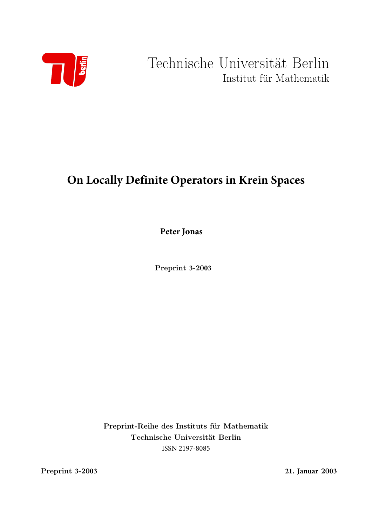

Technische Universität Berlin Institut für Mathematik

# **On Locally Definite Operators in Krein Spaces**

**Peter Jonas**

Preprint **3**-20**03**

Preprint-Reihe des Instituts für Mathematik Technische Universität Berlin ISSN 2197-8085

Preprint **3**-20**03 21. Januar** 20**03**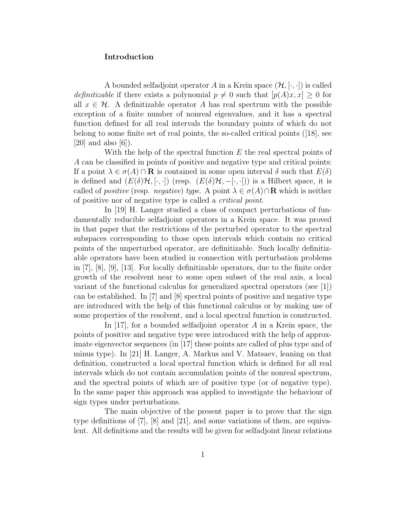## Introduction

A bounded selfadjoint operator A in a Krein space  $(\mathcal{H}, [\cdot, \cdot])$  is called *definitizable* if there exists a polynomial  $p \neq 0$  such that  $[p(A)x, x] \geq 0$  for all  $x \in \mathcal{H}$ . A definitizable operator A has real spectrum with the possible exception of a finite number of nonreal eigenvalues, and it has a spectral function defined for all real intervals the boundary points of which do not belong to some finite set of real points, the so-called critical points ([18], see  $[20]$  and also  $[6]$ ).

With the help of the spectral function  $E$  the real spectral points of A can be classified in points of positive and negative type and critical points: If a point  $\lambda \in \sigma(A) \cap \mathbf{R}$  is contained in some open interval  $\delta$  such that  $E(\delta)$ is defined and  $(E(\delta)H, [\cdot, \cdot])$  (resp.  $(E(\delta)H, -[\cdot, \cdot])$ ) is a Hilbert space, it is called of *positive* (resp. *negative*) type. A point  $\lambda \in \sigma(A) \cap \mathbf{R}$  which is neither of positive nor of negative type is called a critical point.

In [19] H. Langer studied a class of compact perturbations of fundamentally reducible selfadjoint operators in a Krein space. It was proved in that paper that the restrictions of the perturbed operator to the spectral subspaces corresponding to those open intervals which contain no critical points of the unperturbed operator, are definitizable. Such locally definitizable operators have been studied in connection with perturbation problems in [7], [8], [9], [13]. For locally definitizable operators, due to the finite order growth of the resolvent near to some open subset of the real axis, a local variant of the functional calculus for generalized spectral operators (see [1]) can be established. In [7] and [8] spectral points of positive and negative type are introduced with the help of this functional calculus or by making use of some properties of the resolvent, and a local spectral function is constructed.

In  $[17]$ , for a bounded selfadjoint operator A in a Krein space, the points of positive and negative type were introduced with the help of approximate eigenvector sequences (in [17] these points are called of plus type and of minus type). In [21] H. Langer, A. Markus and V. Matsaev, leaning on that definition, constructed a local spectral function which is defined for all real intervals which do not contain accumulation points of the nonreal spectrum, and the spectral points of which are of positive type (or of negative type). In the same paper this approach was applied to investigate the behaviour of sign types under perturbations.

The main objective of the present paper is to prove that the sign type definitions of [7], [8] and [21], and some variations of them, are equivalent. All definitions and the results will be given for selfadjoint linear relations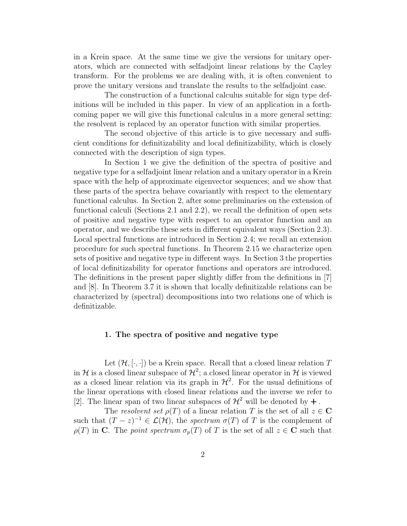in a Krein space. At the same time we give the versions for unitary operators, which are connected with selfadjoint linear relations by the Cayley transform. For the problems we are dealing with, it is often convenient to prove the unitary versions and translate the results to the selfadjoint case.

The construction of a functional calculus suitable for sign type definitions will be included in this paper. In view of an application in a forthcoming paper we will give this functional calculus in a more general setting: the resolvent is replaced by an operator function with similar properties.

The second objective of this article is to give necessary and sufficient conditions for definitizability and local definitizability, which is closely connected with the description of sign types.

In Section 1 we give the definition of the spectra of positive and negative type for a selfadjoint linear relation and a unitary operator in a Krein space with the help of approximate eigenvector sequences; and we show that these parts of the spectra behave covariantly with respect to the elementary functional calculus. In Section 2, after some preliminaries on the extension of functional calculi (Sections 2.1 and 2.2), we recall the definition of open sets of positive and negative type with respect to an operator function and an operator, and we describe these sets in different equivalent ways (Section 2.3). Local spectral functions are introduced in Section 2.4; we recall an extension procedure for such spectral functions. In Theorem 2.15 we characterize open sets of positive and negative type in different ways. In Section 3 the properties of local definitizability for operator functions and operators are introduced. The definitions in the present paper slightly differ from the definitions in [7] and [8]. In Theorem 3.7 it is shown that locally definitizable relations can be characterized by (spectral) decompositions into two relations one of which is definitizable.

### 1. The spectra of positive and negative type

Let  $(\mathcal{H}, [\cdot, \cdot])$  be a Krein space. Recall that a closed linear relation T in H is a closed linear subspace of  $\mathcal{H}^2$ ; a closed linear operator in H is viewed as a closed linear relation via its graph in  $\mathcal{H}^2$ . For the usual definitions of the linear operations with closed linear relations and the inverse we refer to [2]. The linear span of two linear subspaces of  $\mathcal{H}^2$  will be denoted by  $+$ .

The resolvent set  $\rho(T)$  of a linear relation T is the set of all  $z \in \mathbb{C}$ such that  $(T - z)^{-1} \in \mathcal{L}(\mathcal{H})$ , the spectrum  $\sigma(T)$  of T is the complement of  $\rho(T)$  in C. The point spectrum  $\sigma_p(T)$  of T is the set of all  $z \in \mathbb{C}$  such that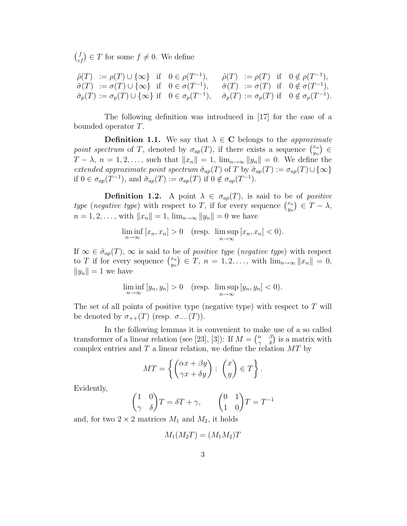$f_{zf}^{f}$   $\in$  T for some  $f \neq 0$ . We define

$$
\begin{array}{llll}\n\tilde{\rho}(T) &:= \rho(T) \cup \{\infty\} & \text{if} \quad 0 \in \rho(T^{-1}), \\
\tilde{\sigma}(T) &:= \sigma(T) \cup \{\infty\} & \text{if} \quad 0 \in \sigma(T^{-1}), \\
\tilde{\sigma}(T) &:= \sigma(T) \cup \{\infty\} & \text{if} \quad 0 \in \sigma(T^{-1}), \\
\tilde{\sigma}_p(T) &:= \sigma_p(T) \cup \{\infty\} & \text{if} \quad 0 \in \sigma_p(T^{-1}), \\
\tilde{\sigma}_p(T) &:= \sigma_p(T) & \text{if} \quad 0 \notin \sigma_p(T^{-1}).\n\end{array}
$$

The following definition was introduced in [17] for the case of a bounded operator T.

**Definition 1.1.** We say that  $\lambda \in \mathbb{C}$  belongs to the *approximate* point spectrum of T, denoted by  $\sigma_{ap}(T)$ , if there exists a sequence  $\binom{x_n}{y_n}$  $\begin{pmatrix} x_n \\ y_n \end{pmatrix}$   $\in$  $T - \lambda$ ,  $n = 1, 2, \ldots$ , such that  $||x_n|| = 1$ ,  $\lim_{n \to \infty} ||y_n|| = 0$ . We define the extended approximate point spectrum  $\tilde{\sigma}_{ap}(T)$  of T by  $\tilde{\sigma}_{ap}(T) := \sigma_{ap}(T) \cup \{\infty\}$ if  $0 \in \sigma_{ap}(T^{-1}),$  and  $\tilde{\sigma}_{ap}(T) := \sigma_{ap}(T)$  if  $0 \notin \sigma_{ap}(T^{-1}).$ 

**Definition 1.2.** A point  $\lambda \in \sigma_{ap}(T)$ , is said to be of *positive* type (negative type) with respect to T, if for every sequence  $\binom{x_n}{y_n}$  $\begin{aligned} \binom{x_n}{y_n} \in T - \lambda, \end{aligned}$  $n = 1, 2, \ldots$ , with  $||x_n|| = 1$ ,  $\lim_{n \to \infty} ||y_n|| = 0$  we have

$$
\liminf_{n \to \infty} [x_n, x_n] > 0 \quad (\text{resp. } \limsup_{n \to \infty} [x_n, x_n] < 0).
$$

If  $\infty \in \tilde{\sigma}_{ap}(T)$ ,  $\infty$  is said to be of *positive type* (*negative type*) with respect to T if for every sequence  $\binom{x_n}{y_n}$  $\begin{array}{c} (x_n) \in \overline{T}, \ n = 1, 2, \ldots, \text{ with } \lim_{n \to \infty} ||x_n|| = 0, \end{array}$  $||y_n|| = 1$  we have

$$
\liminf_{n \to \infty} [y_n, y_n] > 0 \quad (\text{resp. } \limsup_{n \to \infty} [y_n, y_n] < 0).
$$

The set of all points of positive type (negative type) with respect to  $T$  will be denoted by  $\sigma_{++}(T)$  (resp.  $\sigma_{--}(T)$ ).

In the following lemmas it is convenient to make use of a so called transformer of a linear relation (see [23], [3]): If  $M = \begin{pmatrix} \alpha & \beta \\ \gamma & \delta \end{pmatrix}$  is a matrix with complex entries and  $T$  a linear relation, we define the relation  $MT$  by

$$
MT = \left\{ \begin{pmatrix} \alpha x + \beta y \\ \gamma x + \delta y \end{pmatrix} : \begin{pmatrix} x \\ y \end{pmatrix} \in T \right\}.
$$

Evidently,

$$
\begin{pmatrix} 1 & 0 \\ \gamma & \delta \end{pmatrix} T = \delta T + \gamma, \qquad \begin{pmatrix} 0 & 1 \\ 1 & 0 \end{pmatrix} T = T^{-1}
$$

and, for two  $2 \times 2$  matrices  $M_1$  and  $M_2$ , it holds

$$
M_1(M_2T) = (M_1M_2)T
$$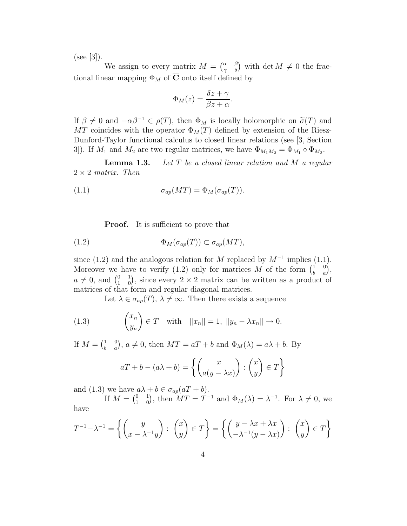$(see [3]).$ 

We assign to every matrix  $M = \begin{pmatrix} \alpha & \beta \\ \gamma & \delta \end{pmatrix}$  with  $\det M \neq 0$  the fractional linear mapping  $\Phi_M$  of  $\overline{C}$  onto itself defined by

$$
\Phi_M(z) = \frac{\delta z + \gamma}{\beta z + \alpha}.
$$

If  $\beta \neq 0$  and  $-\alpha\beta^{-1} \in \rho(T)$ , then  $\Phi_M$  is locally holomorphic on  $\tilde{\sigma}(T)$  and MT coincides with the operator  $\Phi_M(T)$  defined by extension of the Riesz-Dunford-Taylor functional calculus to closed linear relations (see [3, Section 3]). If  $M_1$  and  $M_2$  are two regular matrices, we have  $\Phi_{M_1M_2} = \Phi_{M_1} \circ \Phi_{M_2}$ .

**Lemma 1.3.** Let  $T$  be a closed linear relation and  $M$  a regular  $2 \times 2$  matrix. Then

(1.1) 
$$
\sigma_{ap}(MT) = \Phi_M(\sigma_{ap}(T)).
$$

**Proof.** It is sufficient to prove that

(1.2) 
$$
\Phi_M(\sigma_{ap}(T)) \subset \sigma_{ap}(MT),
$$

since (1.2) and the analogous relation for M replaced by  $M^{-1}$  implies (1.1). Moreover we have to verify (1.2) only for matrices M of the form  $\begin{pmatrix} 1 & 0 \\ b & a \end{pmatrix}$ ,  $a \neq 0$ , and  $\begin{pmatrix} 0 & 1 \\ 1 & 0 \end{pmatrix}$ , since every  $2 \times 2$  matrix can be written as a product of matrices of that form and regular diagonal matrices.

Let  $\lambda \in \sigma_{ap}(T)$ ,  $\lambda \neq \infty$ . Then there exists a sequence

(1.3) 
$$
\begin{pmatrix} x_n \\ y_n \end{pmatrix} \in T \quad \text{with} \quad ||x_n|| = 1, ||y_n - \lambda x_n|| \to 0.
$$

If  $M = \begin{pmatrix} 1 & 0 \\ b & a \end{pmatrix}$ ,  $a \neq 0$ , then  $MT = aT + b$  and  $\Phi_M(\lambda) = a\lambda + b$ . By

$$
aT + b - (a\lambda + b) = \left\{ \begin{pmatrix} x \\ a(y - \lambda x) \end{pmatrix} : \begin{pmatrix} x \\ y \end{pmatrix} \in T \right\}
$$

and (1.3) we have  $a\lambda + b \in \sigma_{ap}(aT + b)$ .

If  $M = \begin{pmatrix} 0 & 1 \\ 1 & 0 \end{pmatrix}$ , then  $MT = T^{-1}$  and  $\Phi_M(\lambda) = \lambda^{-1}$ . For  $\lambda \neq 0$ , we have

$$
T^{-1} - \lambda^{-1} = \left\{ \begin{pmatrix} y \\ x - \lambda^{-1}y \end{pmatrix} : \begin{pmatrix} x \\ y \end{pmatrix} \in T \right\} = \left\{ \begin{pmatrix} y - \lambda x + \lambda x \\ -\lambda^{-1}(y - \lambda x) \end{pmatrix} : \begin{pmatrix} x \\ y \end{pmatrix} \in T \right\}
$$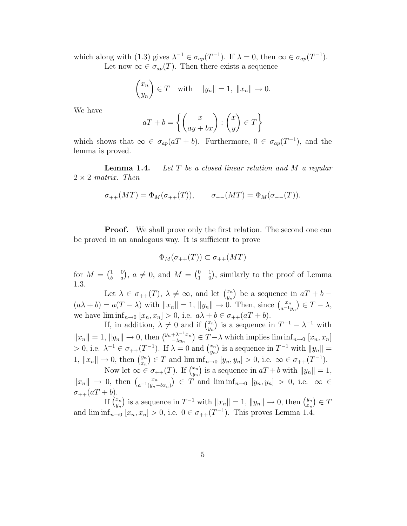which along with (1.3) gives  $\lambda^{-1} \in \sigma_{ap}(T^{-1})$ . If  $\lambda = 0$ , then  $\infty \in \sigma_{ap}(T^{-1})$ . Let now  $\infty \in \sigma_{ap}(T)$ . Then there exists a sequence

$$
\begin{pmatrix} x_n \\ y_n \end{pmatrix} \in T \quad \text{with} \quad ||y_n|| = 1, ||x_n|| \to 0.
$$

We have

$$
aT + b = \left\{ \begin{pmatrix} x \\ ay + bx \end{pmatrix} : \begin{pmatrix} x \\ y \end{pmatrix} \in T \right\}
$$

which shows that  $\infty \in \sigma_{ap}(aT+b)$ . Furthermore,  $0 \in \sigma_{ap}(T^{-1})$ , and the lemma is proved.

**Lemma 1.4.** Let  $T$  be a closed linear relation and  $M$  a regular  $2 \times 2$  matrix. Then

$$
\sigma_{++}(MT) = \Phi_M(\sigma_{++}(T)), \qquad \sigma_{--}(MT) = \Phi_M(\sigma_{--}(T)).
$$

**Proof.** We shall prove only the first relation. The second one can be proved in an analogous way. It is sufficient to prove

$$
\Phi_M(\sigma_{++}(T)) \subset \sigma_{++}(MT)
$$

for  $M = \begin{pmatrix} 1 & 0 \\ b & a \end{pmatrix}$ ,  $a \neq 0$ , and  $M = \begin{pmatrix} 0 & 1 \\ 1 & 0 \end{pmatrix}$ , similarly to the proof of Lemma 1.3.

Let  $\lambda \in \sigma_{++}(T)$ ,  $\lambda \neq \infty$ , and let  $\binom{x_n}{y_n}$  $\binom{x_n}{y_n}$  be a sequence in  $aT + b$  –  $(a\lambda + b) = a(T - \lambda)$  with  $||x_n|| = 1$ ,  $||y_n|| \to 0$ . Then, since  $\binom{x_n}{a^{-1}y_n} \in T - \lambda$ , we have  $\liminf_{n\to 0} [x_n, x_n] > 0$ , i.e.  $a\lambda + b \in \sigma_{++}(aT + b)$ .

If, in addition,  $\lambda \neq 0$  and if  $\binom{x_n}{y_n}$  $\binom{x_n}{y_n}$  is a sequence in  $T^{-1} - \lambda^{-1}$  with  $||x_n|| = 1, ||y_n|| \to 0$ , then  $\binom{y_n + \lambda^{-1}x_n}{\lambda^{y_n}}$  $\binom{+\lambda^{-1}x_n}{-\lambda y_n} \in T-\lambda$  which implies lim  $\inf_{n\to 0} [x_n, x_n]$  $> 0$ , i.e.  $\lambda^{-1} \in \sigma_{++}(T^{-1})$ . If  $\lambda = 0$  and  $\binom{x_n}{y_n}$  $\binom{x_n}{y_n}$  is a sequence in  $T^{-1}$  with  $||y_n|| =$ 1,  $||x_n|| \to 0$ , then  $\binom{y_n}{x_n}$  $\binom{y_n}{x_n} \in T$  and  $\liminf_{n \to 0} \left[ y_n, y_n \right] > 0$ , i.e.  $\infty \in \sigma_{++}(T^{-1})$ .

Now let  $\infty \in \sigma_{++}(T)$ . If  $\binom{x_n}{y_n}$  $\binom{x_n}{y_n}$  is a sequence in  $aT + b$  with  $||y_n|| = 1$ ,  $||x_n|| \rightarrow 0$ , then  $\binom{x_n}{a^{-1}(y_n-bx_n)} \in T$  and  $\liminf_{n\to 0} [y_n, y_n] > 0$ , i.e.  $\infty \in$  $\sigma_{++}(aT+b).$ 

If  $\int_{u}^{x_n}$  $\binom{x_n}{y_n}$  is a sequence in  $T^{-1}$  with  $||x_n|| = 1$ ,  $||y_n|| \to 0$ , then  $\binom{y_n}{x_n}$  $_{x_n}^{y_n}$   $\in$  T and  $\liminf_{n\to 0} [x_n, x_n] > 0$ , i.e.  $0 \in \sigma_{++}(T^{-1})$ . This proves Lemma 1.4.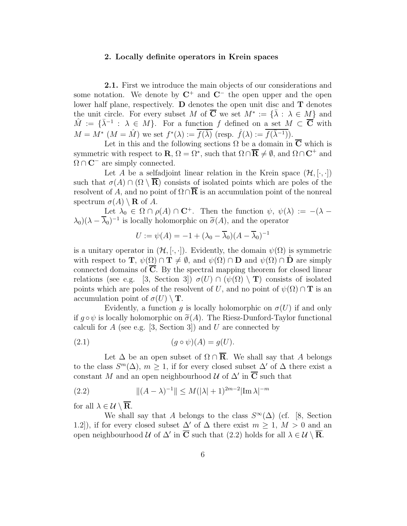## 2. Locally definite operators in Krein spaces

2.1. First we introduce the main objects of our considerations and some notation. We denote by  $\mathbb{C}^+$  and  $\mathbb{C}^-$  the open upper and the open lower half plane, respectively.  $\bf{D}$  denotes the open unit disc and  $\bf{T}$  denotes the unit circle. For every subset M of  $\overline{C}$  we set  $M^* := {\overline{\lambda} : \lambda \in M}$  and  $\hat{M} := \{ \bar{\lambda}^{-1} : \lambda \in M \}$ . For a function f defined on a set  $M \subset \overline{\mathbf{C}}$  with  $M = M^*$   $(M = \hat{M})$  we set  $f^*(\lambda) := \overline{f(\bar{\lambda})}$  (resp.  $\hat{f}(\lambda) := \overline{f(\bar{\lambda}^{-1})}$ ).

Let in this and the following sections  $\Omega$  be a domain in  $\overline{C}$  which is symmetric with respect to  $\mathbf{R}, \Omega = \Omega^*$ , such that  $\Omega \cap \overline{\mathbf{R}} \neq \emptyset$ , and  $\Omega \cap \mathbf{C}^+$  and  $\Omega \cap \mathbf{C}^-$  are simply connected.

Let A be a selfadjoint linear relation in the Krein space  $(\mathcal{H}, [\cdot, \cdot])$ such that  $\sigma(A) \cap (\Omega \setminus \overline{\mathbf{R}})$  consists of isolated points which are poles of the resolvent of A, and no point of  $\Omega \cap \overline{\mathbb{R}}$  is an accumulation point of the nonreal spectrum  $\sigma(A) \setminus \mathbf{R}$  of A.

Let  $\lambda_0 \in \Omega \cap \rho(A) \cap \mathbb{C}^+$ . Then the function  $\psi$ ,  $\psi(\lambda) := -(\lambda - \lambda)$  $\lambda_0$ )( $\lambda - \overline{\lambda}_0$ )<sup>-1</sup> is locally holomorphic on  $\tilde{\sigma}(A)$ , and the operator

$$
U := \psi(A) = -1 + (\lambda_0 - \overline{\lambda}_0)(A - \overline{\lambda}_0)^{-1}
$$

is a unitary operator in  $(\mathcal{H}, [\cdot, \cdot])$ . Evidently, the domain  $\psi(\Omega)$  is symmetric with respect to **T**,  $\psi(\Omega) \cap \mathbf{T} \neq \emptyset$ , and  $\psi(\Omega) \cap \mathbf{D}$  and  $\psi(\Omega) \cap \mathbf{D}$  are simply connected domains of  $\overline{C}$ . By the spectral mapping theorem for closed linear relations (see e.g. [3, Section 3])  $\sigma(U) \cap (\psi(\Omega) \setminus {\bf T})$  consists of isolated points which are poles of the resolvent of U, and no point of  $\psi(\Omega) \cap T$  is an accumulation point of  $\sigma(U) \setminus T$ .

Evidently, a function q is locally holomorphic on  $\sigma(U)$  if and only if  $g \circ \psi$  is locally holomorphic on  $\tilde{\sigma}(A)$ . The Riesz-Dunford-Taylor functional calculi for A (see e.g. [3, Section 3]) and U are connected by

(2.1) (g ◦ ψ)(A) = g(U).

Let  $\Delta$  be an open subset of  $\Omega \cap \overline{\mathbf{R}}$ . We shall say that A belongs to the class  $S^m(\Delta)$ ,  $m \geq 1$ , if for every closed subset  $\Delta'$  of  $\Delta$  there exist a constant M and an open neighbourhood  $\mathcal{U}$  of  $\Delta'$  in  $\overline{\mathbf{C}}$  such that

(2.2) 
$$
\|(A - \lambda)^{-1}\| \le M(|\lambda| + 1)^{2m-2} |\text{Im }\lambda|^{-m}
$$

for all  $\lambda \in \mathcal{U} \setminus \overline{\mathbf{R}}$ .

We shall say that A belongs to the class  $S^{\infty}(\Delta)$  (cf. [8, Section 1.2]), if for every closed subset  $\Delta'$  of  $\Delta$  there exist  $m \geq 1$ ,  $M > 0$  and an open neighbourhood  $\mathcal U$  of  $\Delta'$  in  $\overline{\mathbf{C}}$  such that  $(2.2)$  holds for all  $\lambda \in \mathcal U \setminus \overline{\mathbf{R}}$ .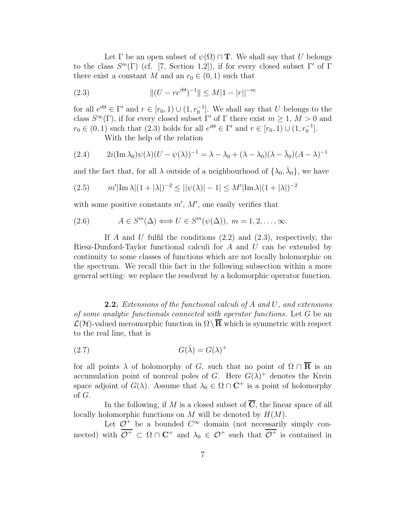Let  $\Gamma$  be an open subset of  $\psi(\Omega) \cap \mathbf{T}$ . We shall say that U belongs to the class  $S^m(\Gamma)$  (cf. [7, Section 1.2]), if for every closed subset  $\Gamma'$  of  $\Gamma$ there exist a constant M and an  $r_0 \in (0, 1)$  such that

(2.3) 
$$
||(U - re^{i\Theta})^{-1}|| \le M|1 - |r||^{-m}
$$

for all  $e^{i\Theta} \in \Gamma'$  and  $r \in [r_0, 1) \cup (1, r_0^{-1}]$ . We shall say that U belongs to the class  $S^{\infty}(\Gamma)$ , if for every closed subset  $\Gamma'$  of  $\Gamma$  there exist  $m \geq 1$ ,  $M > 0$  and  $r_0 \in (0,1)$  such that  $(2.3)$  holds for all  $e^{i\Theta} \in \Gamma'$  and  $r \in [r_0,1) \cup (1,r_0^{-1}]$ .

With the help of the relation

(2.4) 
$$
2i(\operatorname{Im}\lambda_0)\psi(\lambda)(U-\psi(\lambda))^{-1}=\lambda-\lambda_0+(\lambda-\lambda_0)(\lambda-\bar{\lambda}_0)(A-\lambda)^{-1}
$$

and the fact that, for all  $\lambda$  outside of a neighbourhood of  $\{\lambda_0, \bar{\lambda}_0\}$ , we have

(2.5) 
$$
m'|\text{Im }\lambda|(1+|\lambda|)^{-2} \leq ||\psi(\lambda)| - 1| \leq M'|\text{Im }\lambda|(1+|\lambda|)^{-2}
$$

with some positive constants  $m'$ ,  $M'$ , one easily verifies that

(2.6) 
$$
A \in S^m(\Delta) \Longleftrightarrow U \in S^m(\psi(\Delta)), m = 1, 2, ..., \infty.
$$

If A and U fulfil the conditions  $(2.2)$  and  $(2.3)$ , respectively, the Riesz-Dunford-Taylor functional calculi for A and U can be extended by continuity to some classes of functions which are not locally holomorphic on the spectrum. We recall this fact in the following subsection within a more general setting: we replace the resolvent by a holomorphic operator function.

**2.2.** Extensions of the functional calculi of  $A$  and  $U$ , and extensions of some analytic functionals connected with operator functions. Let G be an  $\mathcal{L}(\mathcal{H})$ -valued meromorphic function in  $\Omega \setminus \overline{\mathbf{R}}$  which is symmetric with respect to the real line, that is

$$
(2.7) \tG(\bar{\lambda}) = G(\lambda)^+
$$

for all points  $\lambda$  of holomorphy of G, such that no point of  $\Omega \cap \overline{\mathbf{R}}$  is an accumulation point of nonreal poles of G. Here  $G(\lambda)^+$  denotes the Krein space adjoint of  $G(\lambda)$ . Assume that  $\lambda_0 \in \Omega \cap \mathbb{C}^+$  is a point of holomorphy of G.

In the following, if M is a closed subset of  $\overline{C}$ , the linear space of all locally holomorphic functions on M will be denoted by  $H(M)$ .

Let  $\mathcal{O}^+$  be a bounded  $C^{\infty}$  domain (not necessarily simply connected) with  $\mathcal{O}^+ \subset \Omega \cap \mathbb{C}^+$  and  $\lambda_0 \in \mathcal{O}^+$  such that  $\mathcal{O}^+$  is contained in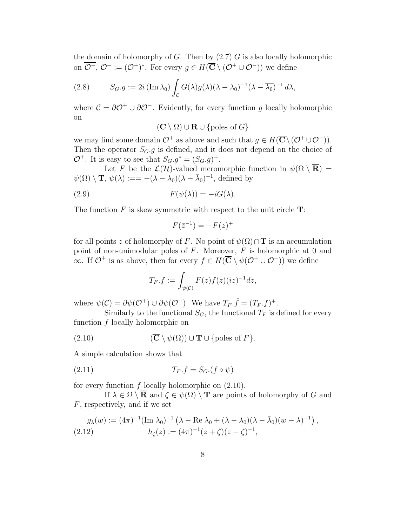the domain of holomorphy of G. Then by  $(2.7)$  G is also locally holomorphic on  $\mathcal{O}^-$ ,  $\mathcal{O}^- := (\mathcal{O}^+)^*$ . For every  $g \in H(\overline{\mathbf{C}} \setminus (\mathcal{O}^+ \cup \mathcal{O}^-))$  we define

(2.8) 
$$
S_G.g := 2i (\operatorname{Im} \lambda_0) \int_C G(\lambda) g(\lambda) (\lambda - \lambda_0)^{-1} (\lambda - \overline{\lambda_0})^{-1} d\lambda,
$$

where  $\mathcal{C} = \partial \mathcal{O}^+ \cup \partial \mathcal{O}^-$ . Evidently, for every function g locally holomorphic on

$$
(\overline{\mathbf{C}} \setminus \Omega) \cup \overline{\mathbf{R}} \cup \{\text{poles of } G\}
$$

we may find some domain  $\mathcal{O}^+$  as above and such that  $g \in H(\overline{\mathbf{C}} \setminus (\mathcal{O}^+ \cup \mathcal{O}^-))$ . Then the operator  $S_G$ , q is defined, and it does not depend on the choice of  $\mathcal{O}^+$ . It is easy to see that  $S_G.g^* = (S_G.g)^+$ .

Let F be the  $\mathcal{L}(\mathcal{H})$ -valued meromorphic function in  $\psi(\Omega \setminus \overline{\mathbf{R}})$  =  $\psi(\Omega) \setminus \mathbf{T}, \psi(\lambda) := -(\lambda - \lambda_0)(\lambda - \bar{\lambda}_0)^{-1}$ , defined by

(2.9) 
$$
F(\psi(\lambda)) = -iG(\lambda).
$$

The function  $F$  is skew symmetric with respect to the unit circle  $T$ :

$$
F(\bar{z}^{-1}) = -F(z)^+
$$

for all points z of holomorphy of F. No point of  $\psi(\Omega) \cap T$  is an accumulation point of non-unimodular poles of  $F$ . Moreover,  $F$  is holomorphic at 0 and  $\infty$ . If  $\mathcal{O}^+$  is as above, then for every  $f \in H(\overline{\mathbf{C}} \setminus \psi(\mathcal{O}^+ \cup \mathcal{O}^-))$  we define

$$
T_F.f := \int_{\psi(\mathcal{C})} F(z)f(z)(iz)^{-1}dz,
$$

where  $\psi(\mathcal{C}) = \partial \psi(\mathcal{O}^+) \cup \partial \psi(\mathcal{O}^-)$ . We have  $T_F \cdot \hat{f} = (T_F \cdot f)^+$ .

Similarly to the functional  $S_G$ , the functional  $T_F$  is defined for every function f locally holomorphic on

(2.10) 
$$
(\overline{\mathbf{C}} \setminus \psi(\Omega)) \cup \mathbf{T} \cup \{\text{poles of } F\}.
$$

A simple calculation shows that

$$
(2.11) \t\t T_F.f = S_G.(f \circ \psi)
$$

for every function  $f$  locally holomorphic on  $(2.10)$ .

If  $\lambda \in \Omega \setminus \overline{\mathbf{R}}$  and  $\zeta \in \psi(\Omega) \setminus \mathbf{T}$  are points of holomorphy of G and F, respectively, and if we set

$$
g_{\lambda}(w) := (4\pi)^{-1} (\text{Im } \lambda_0)^{-1} \left( \lambda - \text{Re } \lambda_0 + (\lambda - \lambda_0)(\lambda - \bar{\lambda}_0)(w - \lambda)^{-1} \right),
$$
  
(2.12) 
$$
h_{\zeta}(z) := (4\pi)^{-1} (z + \zeta)(z - \zeta)^{-1},
$$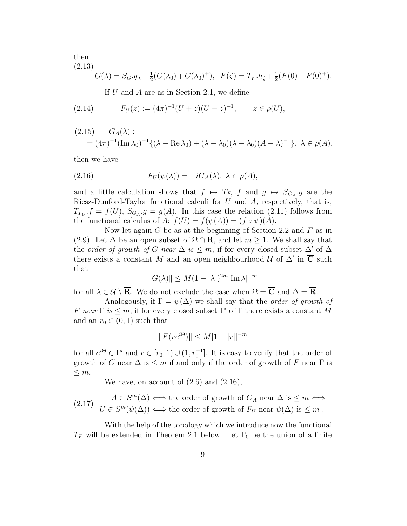then (2.13)

$$
G(\lambda) = S_G \cdot g_{\lambda} + \frac{1}{2}(G(\lambda_0) + G(\lambda_0)^+), \quad F(\zeta) = T_F \cdot h_{\zeta} + \frac{1}{2}(F(0) - F(0)^+).
$$

If  $U$  and  $A$  are as in Section 2.1, we define

(2.14) 
$$
F_U(z) := (4\pi)^{-1}(U+z)(U-z)^{-1}, \qquad z \in \rho(U),
$$

$$
(2.15) \qquad G_A(\lambda) :=
$$
  
=  $(4\pi)^{-1}(\operatorname{Im}\lambda_0)^{-1}\{(\lambda - \operatorname{Re}\lambda_0) + (\lambda - \lambda_0)(\lambda - \overline{\lambda_0})(A - \lambda)^{-1}\}, \lambda \in \rho(A),$ 

then we have

(2.16) 
$$
F_U(\psi(\lambda)) = -iG_A(\lambda), \ \lambda \in \rho(A),
$$

and a little calculation shows that  $f \mapsto T_{F_U}.f$  and  $g \mapsto S_{G_A}.g$  are the Riesz-Dunford-Taylor functional calculi for  $U$  and  $A$ , respectively, that is,  $T_{F_U}.f = f(U), S_{G_A}.g = g(A)$ . In this case the relation (2.11) follows from the functional calculus of A:  $f(U) = f(\psi(A)) = (f \circ \psi)(A)$ .

Now let again  $G$  be as at the beginning of Section 2.2 and  $F$  as in (2.9). Let  $\Delta$  be an open subset of  $\Omega \cap \mathbf{R}$ , and let  $m \geq 1$ . We shall say that the *order of growth of G near*  $\Delta$  *is*  $\leq$  *m*, if for every closed subset  $\Delta'$  of  $\Delta$ there exists a constant M and an open neighbourhood  $\mathcal{U}$  of  $\Delta'$  in  $\overline{\mathbf{C}}$  such that

$$
||G(\lambda)|| \le M(1+|\lambda|)^{2m}|\text{Im }\lambda|^{-m}
$$

for all  $\lambda \in \mathcal{U} \setminus \overline{\mathbf{R}}$ . We do not exclude the case when  $\Omega = \overline{\mathbf{C}}$  and  $\Delta = \overline{\mathbf{R}}$ .

Analogously, if  $\Gamma = \psi(\Delta)$  we shall say that the *order of growth of* F near  $\Gamma$  is  $\leq m$ , if for every closed subset  $\Gamma'$  of  $\Gamma$  there exists a constant M and an  $r_0 \in (0, 1)$  such that

$$
||F(re^{i\Theta})|| \le M|1 - |r||^{-m}
$$

for all  $e^{i\Theta} \in \Gamma'$  and  $r \in [r_0, 1) \cup (1, r_0^{-1}]$ . It is easy to verify that the order of growth of G near  $\Delta$  is  $\leq m$  if and only if the order of growth of F near  $\Gamma$  is  $\leq m$ .

We have, on account of (2.6) and (2.16),

(2.17) 
$$
A \in S^m(\Delta) \iff \text{the order of growth of } G_A \text{ near } \Delta \text{ is } \leq m \iff
$$

$$
U \in S^m(\psi(\Delta)) \iff \text{the order of growth of } F_U \text{ near } \psi(\Delta) \text{ is } \leq m.
$$

With the help of the topology which we introduce now the functional  $T_F$  will be extended in Theorem 2.1 below. Let  $\Gamma_0$  be the union of a finite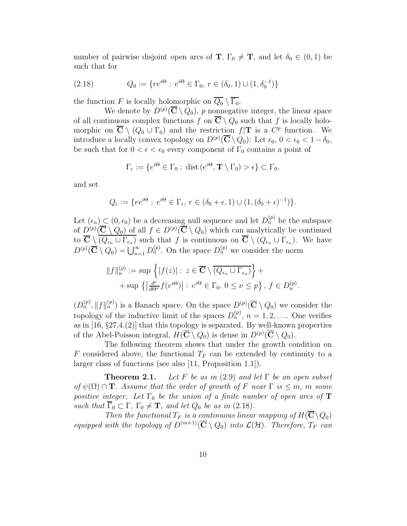number of pairwise disjoint open arcs of **T**,  $\Gamma_0 \neq \mathbf{T}$ , and let  $\delta_0 \in (0,1)$  be such that for

(2.18) 
$$
Q_0 := \{ re^{i\Theta} : e^{i\Theta} \in \Gamma_0, r \in (\delta_0, 1) \cup (1, \delta_0^{-1}) \}
$$

the function F is locally holomorphic on  $\overline{Q_0} \setminus \overline{\Gamma_0}$ .

We denote by  $D^{(p)}(\overline{C} \setminus Q_0)$ , p nonnegative integer, the linear space of all continuous complex functions f on  $\overline{C} \setminus Q_0$  such that f is locally holomorphic on  $\overline{C} \setminus (Q_0 \cup \Gamma_0)$  and the restriction  $f|T$  is a  $C^p$  function. We introduce a locally convex topology on  $D^{(p)}(\overline{C} \setminus Q_0)$ : Let  $\epsilon_0, 0 < \epsilon_0 < 1 - \delta_0$ , be such that for  $0 < \epsilon < \epsilon_0$  every component of  $\Gamma_0$  contains a point of

$$
\Gamma_{\epsilon} := \{ e^{i\Theta} \in \Gamma_0 : \, \text{dist} \left( e^{i\Theta}, \mathbf{T} \setminus \Gamma_0 \right) > \epsilon \} \subset \Gamma_0,
$$

and set

$$
Q_{\epsilon} := \{ re^{i\Theta} : e^{i\Theta} \in \Gamma_{\epsilon}, r \in (\delta_0 + \epsilon, 1) \cup (1, (\delta_0 + \epsilon)^{-1}) \}.
$$

Let  $(\epsilon_n) \subset (0, \epsilon_0)$  be a decreasing null sequence and let  $D_n^{(p)}$  be the subspace of  $D^{(p)}(\overline{C} \setminus Q_0)$  of all  $f \in D^{(p)}(\overline{C} \setminus Q_0)$  which can analytically be continued to  $\mathbf{C} \setminus (Q_{\epsilon_n} \cup \Gamma_{\epsilon_n})$  such that f is continuous on  $\mathbf{C} \setminus (Q_{\epsilon_n} \cup \Gamma_{\epsilon_n})$ . We have  $D^{(p)}(\overline{\mathbf{C}} \setminus Q_0) = \bigcup_{n=1}^{\infty} D_n^{(p)}$ . On the space  $D_n^{(p)}$  we consider the norm

$$
||f||_{n}^{(p)} := \sup \left\{ |f(z)| : z \in \overline{\mathbf{C}} \setminus \overline{(Q_{\epsilon_n} \cup \Gamma_{\epsilon_n})} \right\} +
$$
  
+ 
$$
\sup \left\{ \left| \frac{d^{\nu}}{d\Theta^{\nu}} f(e^{i\Theta}) \right| : e^{i\Theta} \in \Gamma_0, 0 \le \nu \le p \right\}, f \in D_n^{(p)}.
$$

 $(D_n^{(p)}, \|f\|_n^{(p)})$  is a Banach space. On the space  $D^{(p)}(\overline{\mathbf{C}} \setminus Q_0)$  we consider the topology of the inductive limit of the spaces  $D_n^{(p)}$ ,  $n = 1, 2, \ldots$  One verifies as in  $[16, §27,4.2]$  that this topology is separated. By well-known properties of the Abel-Poisson integral,  $H(\overline{\mathbf{C}} \setminus Q_0)$  is dense in  $D^{(p)}(\overline{\mathbf{C}} \setminus Q_0)$ .

The following theorem shows that under the growth condition on F considered above, the functional  $T_F$  can be extended by continuity to a larger class of functions (see also [11, Proposition 1.1]).

**Theorem 2.1.** Let F be as in (2.9) and let  $\Gamma$  be an open subset of  $\psi(\Omega) \cap \mathbf{T}$ . Assume that the order of growth of F near  $\Gamma$  is  $\leq m$ , m some positive integer. Let  $\Gamma_0$  be the union of a finite number of open arcs of  $T$ such that  $\overline{\Gamma}_0 \subset \Gamma$ ,  $\Gamma_0 \neq \mathbf{T}$ , and let  $Q_0$  be as in (2.18).

Then the functional  $T_F$  is a continuous linear mapping of  $H(\overline{\mathbf{C}}\backslash Q_0)$ equipped with the topology of  $D^{(m+1)}(\overline{C} \setminus Q_0)$  into  $\mathcal{L}(\mathcal{H})$ . Therefore,  $T_F$  can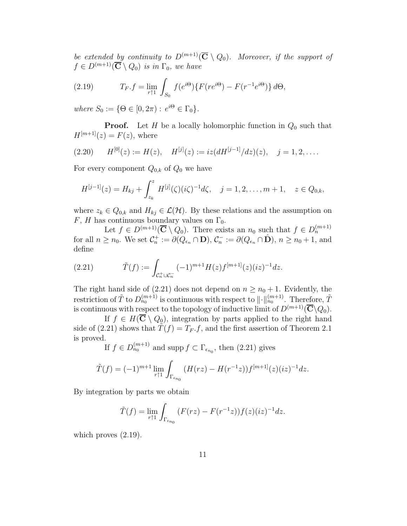be extended by continuity to  $D^{(m+1)}(\overline{C} \setminus Q_0)$ . Moreover, if the support of  $f \in D^{(m+1)}(\overline{\mathbf{C}} \setminus Q_0)$  is in  $\Gamma_0$ , we have

(2.19) 
$$
T_F.f = \lim_{r \uparrow 1} \int_{S_0} f(e^{i\Theta}) \{ F(re^{i\Theta}) - F(r^{-1}e^{i\Theta}) \} d\Theta,
$$

where  $S_0 := \{ \Theta \in [0, 2\pi) : e^{i\Theta} \in \Gamma_0 \}.$ 

**Proof.** Let H be a locally holomorphic function in  $Q_0$  such that  $H^{[m+1]}(z) = F(z)$ , where

$$
(2.20) \tH[0](z) := H(z), \tH[j](z) := iz(dH[j-1]/dz)(z), \tj = 1, 2, ....
$$

For every component  $Q_{0,k}$  of  $Q_0$  we have

$$
H^{[j-1]}(z) = H_{kj} + \int_{z_k}^z H^{[j]}(\zeta)(i\zeta)^{-1} d\zeta, \quad j = 1, 2, \dots, m+1, \quad z \in Q_{0,k},
$$

where  $z_k \in Q_{0,k}$  and  $H_{kj} \in \mathcal{L}(\mathcal{H})$ . By these relations and the assumption on F, H has continuous boundary values on  $\Gamma_0$ .

Let  $f \in D^{(m+1)}(\overline{C} \setminus Q_0)$ . There exists an  $n_0$  such that  $f \in D_n^{(m+1)}$ for all  $n \ge n_0$ . We set  $\mathcal{C}_n^+ := \partial(Q_{\epsilon_n} \cap \mathbf{D}), \, \mathcal{C}_n^- := \partial(Q_{\epsilon_n} \cap \hat{\mathbf{D}}), \, n \ge n_0 + 1$ , and define

(2.21) 
$$
\tilde{T}(f) := \int_{\mathcal{C}_n^+ \cup \mathcal{C}_n^-} (-1)^{m+1} H(z) f^{[m+1]}(z) (iz)^{-1} dz.
$$

The right hand side of (2.21) does not depend on  $n \geq n_0 + 1$ . Evidently, the restriction of  $\tilde{T}$  to  $D_{n_0}^{(m+1)}$  is continuous with respect to  $\|\cdot\|_{n_0}^{(m+1)}$ . Therefore,  $\tilde{T}$ is continuous with respect to the topology of inductive limit of  $D^{(m+1)}(\overline{\mathbf{C}}\backslash Q_0)$ .

If  $f \in H(\overline{\mathbf{C}} \setminus Q_0)$ , integration by parts applied to the right hand side of (2.21) shows that  $\hat{T}(f) = T_F f$ , and the first assertion of Theorem 2.1 is proved.

If 
$$
f \in D_{n_0}^{(m+1)}
$$
 and supp  $f \subset \Gamma_{\epsilon_{n_0}}$ , then (2.21) gives

$$
\tilde{T}(f) = (-1)^{m+1} \lim_{r \uparrow 1} \int_{\Gamma_{\epsilon_{n_0}}} (H(rz) - H(r^{-1}z)) f^{[m+1]}(z) (iz)^{-1} dz.
$$

By integration by parts we obtain

$$
\tilde{T}(f) = \lim_{r \uparrow 1} \int_{\Gamma_{\epsilon_{n_0}}} (F(rz) - F(r^{-1}z))f(z)(iz)^{-1} dz.
$$

which proves  $(2.19)$ .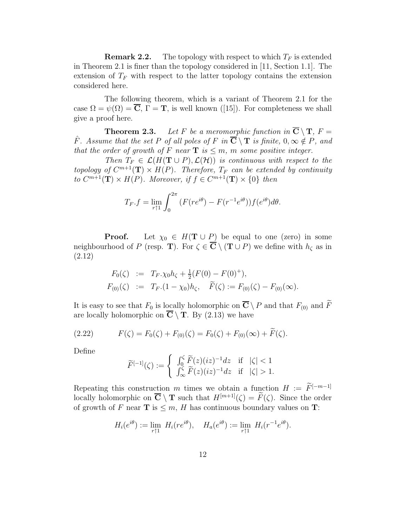**Remark 2.2.** The topology with respect to which  $T_F$  is extended in Theorem 2.1 is finer than the topology considered in [11, Section 1.1]. The extension of  $T_F$  with respect to the latter topology contains the extension considered here.

The following theorem, which is a variant of Theorem 2.1 for the case  $\Omega = \psi(\Omega) = \overline{C}$ ,  $\Gamma = T$ , is well known ([15]). For completeness we shall give a proof here.

**Theorem 2.3.** Let F be a meromorphic function in  $\overline{C} \setminus T$ ,  $F =$  $\hat{F}$ . Assume that the set P of all poles of F in  $\overline{\mathbf{C}} \setminus \mathbf{T}$  is finite,  $0, \infty \notin P$ , and that the order of growth of F near  $\mathbf{T}$  is  $\leq m$ , m some positive integer.

Then  $T_F \in \mathcal{L}(H(\mathbf{T} \cup P), \mathcal{L}(\mathcal{H}))$  is continuous with respect to the topology of  $C^{m+1}(\mathbf{T}) \times H(P)$ . Therefore,  $T_F$  can be extended by continuity to  $C^{m+1}(\mathbf{T}) \times H(P)$ . Moreover, if  $f \in C^{m+1}(\mathbf{T}) \times \{0\}$  then

$$
T_F.f = \lim_{r \uparrow 1} \int_0^{2\pi} \left( F(re^{i\theta}) - F(r^{-1}e^{i\theta}) \right) f(e^{i\theta}) d\theta.
$$

**Proof.** Let  $\chi_0 \in H(\mathbf{T} \cup P)$  be equal to one (zero) in some neighbourhood of P (resp. T). For  $\zeta \in \overline{\mathbf{C}} \setminus (\mathbf{T} \cup P)$  we define with  $h_{\zeta}$  as in (2.12)

$$
F_0(\zeta) := T_F \cdot \chi_0 h_{\zeta} + \frac{1}{2} (F(0) - F(0)^+),
$$
  
\n
$$
F_{(0)}(\zeta) := T_F \cdot (1 - \chi_0) h_{\zeta}, \quad \widetilde{F}(\zeta) := F_{(0)}(\zeta) - F_{(0)}(\infty).
$$

It is easy to see that  $F_0$  is locally holomorphic on  $\overline{\mathbf{C}} \setminus P$  and that  $F_{(0)}$  and  $\widetilde{F}$ are locally holomorphic on  $\overline{C} \setminus T$ . By (2.13) we have

(2.22) 
$$
F(\zeta) = F_0(\zeta) + F_{(0)}(\zeta) = F_0(\zeta) + F_{(0)}(\infty) + F(\zeta).
$$

Define

$$
\widetilde{F}^{[-1]}(\zeta) := \begin{cases} \n\int_0^{\zeta} \widetilde{F}(z)(iz)^{-1} dz & \text{if} \quad |\zeta| < 1 \\ \n\int_{\infty}^{\zeta} \widetilde{F}(z)(iz)^{-1} dz & \text{if} \quad |\zeta| > 1. \n\end{cases}
$$

Repeating this construction m times we obtain a function  $H := \widetilde{F}^{[-m-1]}$ locally holomorphic on  $\overline{\mathbf{C}} \setminus \mathbf{T}$  such that  $H^{[m+1]}(\zeta) = \widetilde{F}(\zeta)$ . Since the order of growth of F near **T** is  $\leq m$ , H has continuous boundary values on **T**:

$$
H_i(e^{i\theta}) := \lim_{r \uparrow 1} H_i(re^{i\theta}), \quad H_a(e^{i\theta}) := \lim_{r \uparrow 1} H_i(r^{-1}e^{i\theta}).
$$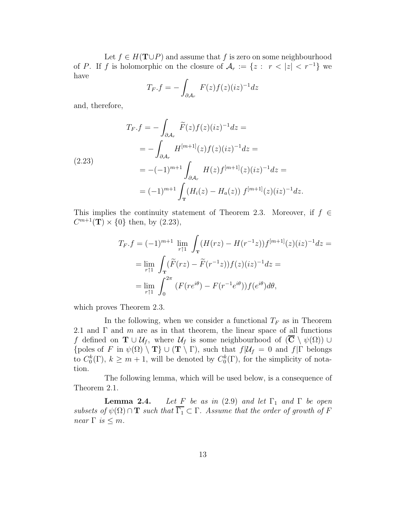Let  $f \in H(\mathbf{T} \cup P)$  and assume that f is zero on some neighbourhood of P. If f is holomorphic on the closure of  $A_r := \{z : r < |z| < r^{-1}\}\$ have

$$
T_F.f = -\int_{\partial \mathcal{A}_r} F(z)f(z)(iz)^{-1}dz
$$

and, therefore,

$$
T_F.f = -\int_{\partial A_r} \widetilde{F}(z)f(z)(iz)^{-1}dz =
$$
  
\n
$$
= -\int_{\partial A_r} H^{[m+1]}(z)f(z)(iz)^{-1}dz =
$$
  
\n(2.23)  
\n
$$
= -(-1)^{m+1} \int_{\partial A_r} H(z)f^{[m+1]}(z)(iz)^{-1}dz =
$$
  
\n
$$
= (-1)^{m+1} \int_{\mathbf{T}} (H_i(z) - H_a(z)) f^{[m+1]}(z)(iz)^{-1}dz.
$$

This implies the continuity statement of Theorem 2.3. Moreover, if  $f \in$  $C^{m+1}({\bf T}) \times \{0\}$  then, by (2.23),

$$
T_F.f = (-1)^{m+1} \lim_{r \uparrow 1} \int_{\mathbf{T}} (H(rz) - H(r^{-1}z)) f^{[m+1]}(z) (iz)^{-1} dz =
$$
  
= 
$$
\lim_{r \uparrow 1} \int_{\mathbf{T}} (\widetilde{F}(rz) - \widetilde{F}(r^{-1}z)) f(z) (iz)^{-1} dz =
$$
  
= 
$$
\lim_{r \uparrow 1} \int_0^{2\pi} (F(re^{i\theta}) - F(r^{-1}e^{i\theta})) f(e^{i\theta}) d\theta,
$$

which proves Theorem 2.3.

In the following, when we consider a functional  $T_F$  as in Theorem 2.1 and  $\Gamma$  and m are as in that theorem, the linear space of all functions f defined on  $\mathbf{T} \cup \mathcal{U}_f$ , where  $\mathcal{U}_f$  is some neighbourhood of  $(\overline{\mathbf{C}} \setminus \psi(\Omega)) \cup$ {poles of F in  $\psi(\Omega) \setminus T$ }  $\cup$  (T \ Γ), such that  $f|\mathcal{U}_f = 0$  and  $f|\Gamma$  belongs to  $C_0^k(\Gamma)$ ,  $k \geq m+1$ , will be denoted by  $C_0^k(\Gamma)$ , for the simplicity of notation.

The following lemma, which will be used below, is a consequence of Theorem 2.1.

**Lemma 2.4.** Let F be as in (2.9) and let  $\Gamma_1$  and  $\Gamma$  be open subsets of  $\psi(\Omega) \cap \mathbf{T}$  such that  $\overline{\Gamma_1} \subset \Gamma$ . Assume that the order of growth of F near  $\Gamma$  is  $\leq m$ .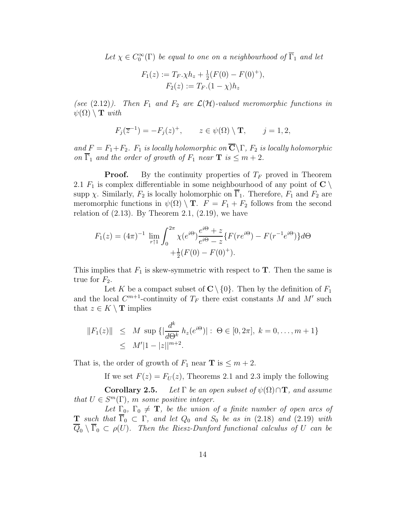Let  $\chi \in C_0^{\infty}(\Gamma)$  be equal to one on a neighbourhood of  $\overline{\Gamma}_1$  and let

$$
F_1(z) := T_F \cdot \chi h_z + \frac{1}{2}(F(0) - F(0)^+),
$$
  
\n
$$
F_2(z) := T_F.(1 - \chi)h_z
$$

(see (2.12)). Then  $F_1$  and  $F_2$  are  $\mathcal{L}(\mathcal{H})$ -valued meromorphic functions in  $\psi(\Omega) \setminus T$  with

$$
F_j(\overline{z}^{-1}) = -F_j(z)^+, \qquad z \in \psi(\Omega) \setminus \mathbf{T}, \qquad j = 1, 2,
$$

and  $F = F_1 + F_2$ .  $F_1$  is locally holomorphic on  $\overline{\mathbf{C}} \backslash \Gamma$ ,  $F_2$  is locally holomorphic on  $\overline{\Gamma}_1$  and the order of growth of  $F_1$  near  $\mathbf{T}$  is  $\leq m+2$ .

**Proof.** By the continuity properties of  $T_F$  proved in Theorem 2.1  $F_1$  is complex differentiable in some neighbourhood of any point of  $\mathbb{C} \setminus$ supp  $\chi$ . Similarly,  $F_2$  is locally holomorphic on  $\Gamma_1$ . Therefore,  $F_1$  and  $F_2$  are meromorphic functions in  $\psi(\Omega) \setminus \mathbf{T}$ .  $F = F_1 + F_2$  follows from the second relation of  $(2.13)$ . By Theorem 2.1,  $(2.19)$ , we have

$$
F_1(z) = (4\pi)^{-1} \lim_{r \uparrow 1} \int_0^{2\pi} \chi(e^{i\Theta}) \frac{e^{i\Theta} + z}{e^{i\Theta} - z} \{ F(re^{i\Theta}) - F(r^{-1}e^{i\Theta}) \} d\Theta
$$
  
 
$$
+ \frac{1}{2}(F(0) - F(0)^+).
$$

This implies that  $F_1$  is skew-symmetric with respect to **T**. Then the same is true for  $F_2$ .

Let K be a compact subset of  $\mathbb{C} \setminus \{0\}$ . Then by the definition of  $F_1$ and the local  $C^{m+1}$ -continuity of  $T_F$  there exist constants M and M' such that  $z \in K \setminus \mathbf{T}$  implies

$$
||F_1(z)|| \leq M \sup \{ |\frac{d^k}{d\Theta^k} h_z(e^{i\Theta})| : \Theta \in [0, 2\pi], k = 0, ..., m + 1 \}
$$
  
 
$$
\leq M' |1 - |z||^{m+2}.
$$

That is, the order of growth of  $F_1$  near **T** is  $\leq m+2$ .

If we set  $F(z) = F<sub>U</sub>(z)$ , Theorems 2.1 and 2.3 imply the following

**Corollary 2.5.** Let  $\Gamma$  be an open subset of  $\psi(\Omega) \cap \mathbf{T}$ , and assume that  $U \in S^m(\Gamma)$ , m some positive integer.

Let  $\Gamma_0$ ,  $\Gamma_0 \neq \mathbf{T}$ , be the union of a finite number of open arcs of **T** such that  $\overline{\Gamma}_0 \subset \Gamma$ , and let  $Q_0$  and  $S_0$  be as in (2.18) and (2.19) with  $\overline{Q}_0 \setminus \overline{\Gamma}_0 \subset \rho(U)$ . Then the Riesz-Dunford functional calculus of U can be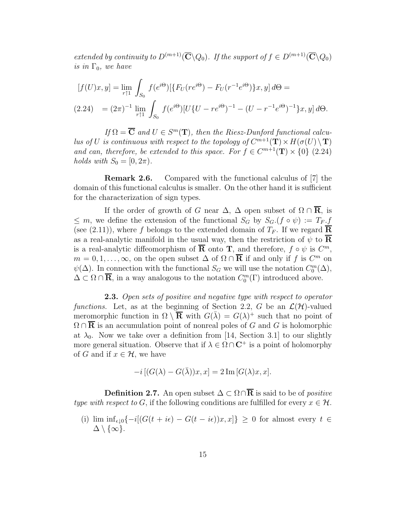extended by continuity to  $D^{(m+1)}(\overline{\mathbf{C}}\backslash Q_0)$ . If the support of  $f \in D^{(m+1)}(\overline{\mathbf{C}}\backslash Q_0)$ is in  $\Gamma_0$ , we have

$$
[f(U)x, y] = \lim_{r \uparrow 1} \int_{S_0} f(e^{i\Theta}) [\{F_U(re^{i\Theta}) - F_U(r^{-1}e^{i\Theta})\} x, y] d\Theta =
$$
  
(2.24) =  $(2\pi)^{-1} \lim_{r \uparrow 1} \int_{S_0} f(e^{i\Theta}) [U\{U - re^{i\Theta})^{-1} - (U - r^{-1}e^{i\Theta})^{-1}\} x, y] d\Theta.$ 

If  $\Omega = \overline{\mathbf{C}}$  and  $U \in S^m(\mathbf{T})$ , then the Riesz-Dunford functional calculus of U is continuous with respect to the topology of  $C^{m+1}(\mathbf{T}) \times H(\sigma(U) \setminus \mathbf{T})$ and can, therefore, be extended to this space. For  $f \in C^{m+1}(\mathbf{T}) \times \{0\}$  (2.24) holds with  $S_0 = [0, 2\pi)$ .

Remark 2.6. Compared with the functional calculus of [7] the domain of this functional calculus is smaller. On the other hand it is sufficient for the characterization of sign types.

If the order of growth of G near  $\Delta$ ,  $\Delta$  open subset of  $\Omega \cap \overline{\mathbf{R}}$ , is  $\leq m$ , we define the extension of the functional  $S_G$  by  $S_G$ .( $f \circ \psi$ ) :=  $T_F$ . (see (2.11)), where f belongs to the extended domain of  $T_F$ . If we regard  $\overline{R}$ as a real-analytic manifold in the usual way, then the restriction of  $\psi$  to  $\overline{R}$ is a real-analytic diffeomorphism of  $\overline{R}$  onto T, and therefore,  $f \circ \psi$  is  $C^m$ ,  $m = 0, 1, \ldots, \infty$ , on the open subset  $\Delta$  of  $\Omega \cap \overline{R}$  if and only if f is  $C^m$  on  $\psi(\Delta)$ . In connection with the functional  $S_G$  we will use the notation  $C_0^m(\Delta)$ ,  $\Delta \subset \Omega \cap \overline{\mathbf{R}}$ , in a way analogous to the notation  $C_0^m(\Gamma)$  introduced above.

**2.3.** Open sets of positive and negative type with respect to operator functions. Let, as at the beginning of Section 2.2, G be an  $\mathcal{L}(\mathcal{H})$ -valued meromorphic function in  $\Omega \setminus \overline{\mathbf{R}}$  with  $G(\overline{\lambda}) = G(\lambda)^+$  such that no point of  $\Omega \cap \mathbf{R}$  is an accumulation point of nonreal poles of G and G is holomorphic at  $\lambda_0$ . Now we take over a definition from [14, Section 3.1] to our slightly more general situation. Observe that if  $\lambda \in \Omega \cap \mathbb{C}^+$  is a point of holomorphy of G and if  $x \in \mathcal{H}$ , we have

$$
-i [(G(\lambda) - G(\bar{\lambda}))x, x] = 2 \operatorname{Im} [G(\lambda)x, x].
$$

**Definition 2.7.** An open subset  $\Delta \subset \Omega \cap \overline{\mathbf{R}}$  is said to be of *positive* type with respect to G, if the following conditions are fulfilled for every  $x \in \mathcal{H}$ .

(i) lim  $\inf_{\epsilon \downarrow 0} \{-i[(G(t + i\epsilon) - G(t - i\epsilon))x, x]\} \geq 0$  for almost every  $t \in$  $\Delta \setminus \{\infty\}.$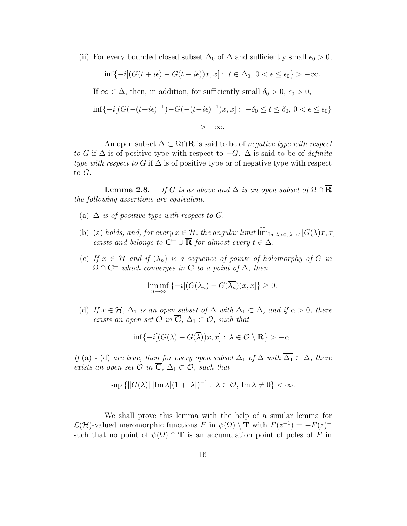(ii) For every bounded closed subset  $\Delta_0$  of  $\Delta$  and sufficiently small  $\epsilon_0 > 0$ ,

$$
\inf\{-i[(G(t+i\epsilon)-G(t-i\epsilon))x,x]: t \in \Delta_0, 0 < \epsilon \le \epsilon_0\} > -\infty.
$$
  
If  $\infty \in \Delta$ , then, in addition, for sufficiently small  $\delta_0 > 0$ ,  $\epsilon_0 > 0$ ,

$$
\inf \{-i[(G(-(t+i\epsilon)^{-1})-G(-(t-i\epsilon)^{-1})x,x]: -\delta_0 \le t \le \delta_0, 0 < \epsilon \le \epsilon_0\}
$$

 $> -\infty$ .

An open subset  $\Delta \subset \Omega \cap \overline{\mathbf{R}}$  is said to be of *negative type with respect* to G if  $\Delta$  is of positive type with respect to  $-G$ .  $\Delta$  is said to be of *definite* type with respect to G if  $\Delta$  is of positive type or of negative type with respect to G.

**Lemma 2.8.** If G is as above and  $\Delta$  is an open subset of  $\Omega \cap \overline{\mathbf{R}}$ the following assertions are equivalent.

- (a)  $\Delta$  is of positive type with respect to G.
- (b) (a) holds, and, for every  $x \in \mathcal{H}$ , the angular limit  $\lim_{\text{Im }\lambda>0, \lambda \to t} [G(\lambda)x, x]$ exists and belongs to  $\mathbf{C}^+ \cup \overline{\mathbf{R}}$  for almost every  $t \in \Delta$ .
- (c) If  $x \in \mathcal{H}$  and if  $(\lambda_n)$  is a sequence of points of holomorphy of G in  $\Omega \cap \mathbf{C}^+$  which converges in  $\overline{\mathbf{C}}$  to a point of  $\Delta$ , then

$$
\liminf_{n \to \infty} \{-i[(G(\lambda_n) - G(\overline{\lambda_n}))x, x]\} \ge 0.
$$

(d) If  $x \in \mathcal{H}$ ,  $\Delta_1$  is an open subset of  $\Delta$  with  $\overline{\Delta_1} \subset \Delta$ , and if  $\alpha > 0$ , there exists an open set  $\overline{C}$  in  $\overline{C}$ ,  $\Delta_1 \subset \overline{O}$ , such that

$$
\inf\{-i[(G(\lambda)-G(\overline{\lambda}))x,x]:\,\lambda\in\mathcal{O}\setminus\overline{\mathbf{R}}\} > -\alpha.
$$

If (a) - (d) are true, then for every open subset  $\Delta_1$  of  $\Delta$  with  $\overline{\Delta_1} \subset \Delta$ , there exists an open set  $\mathcal O$  in  $\overline{\mathbf{C}}$ ,  $\Delta_1 \subset \mathcal O$ , such that

$$
\sup\{\|G(\lambda)\||\operatorname{Im}\lambda|(1+|\lambda|)^{-1}:\,\lambda\in\mathcal{O},\,\operatorname{Im}\lambda\neq 0\}<\infty.
$$

We shall prove this lemma with the help of a similar lemma for  $\mathcal{L}(\mathcal{H})$ -valued meromorphic functions F in  $\psi(\Omega) \setminus \mathbf{T}$  with  $F(\bar{z}^{-1}) = -F(z)^+$ such that no point of  $\psi(\Omega) \cap T$  is an accumulation point of poles of F in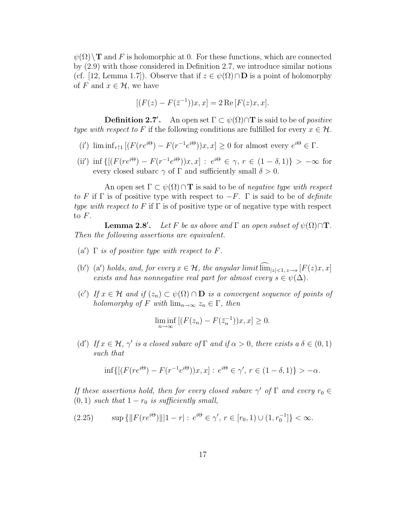$\psi(\Omega)$  T and F is holomorphic at 0. For these functions, which are connected by (2.9) with those considered in Definition 2.7, we introduce similar notions (cf. [12, Lemma 1.7]). Observe that if  $z \in \psi(\Omega) \cap \mathbf{D}$  is a point of holomorphy of F and  $x \in \mathcal{H}$ , we have

$$
[(F(z) - F(\bar{z}^{-1}))x, x] = 2 \operatorname{Re}[F(z)x, x].
$$

**Definition 2.7'.** An open set  $\Gamma \subset \psi(\Omega) \cap \mathbf{T}$  is said to be of *positive* type with respect to F if the following conditions are fulfilled for every  $x \in \mathcal{H}$ .

- (i')  $\liminf_{r \uparrow 1} [(F(re^{i\Theta}) F(r^{-1}e^{i\Theta}))x, x] \ge 0$  for almost every  $e^{i\Theta} \in \Gamma$ .
- (ii') inf  $\{[(F(re^{i\Theta}) F(r^{-1}e^{i\Theta}))x, x] : e^{i\Theta} \in \gamma, r \in (1 \delta, 1)\} > -\infty$  for every closed subarc  $\gamma$  of  $\Gamma$  and sufficiently small  $\delta > 0$ .

An open set  $\Gamma \subset \psi(\Omega) \cap T$  is said to be of *negative type with respect* to F if  $\Gamma$  is of positive type with respect to  $-F$ .  $\Gamma$  is said to be of *definite* type with respect to F if  $\Gamma$  is of positive type or of negative type with respect to  $F$ .

**Lemma 2.8'.** Let F be as above and  $\Gamma$  an open subset of  $\psi(\Omega) \cap \mathbf{T}$ . Then the following assertions are equivalent.

- (a')  $\Gamma$  is of positive type with respect to F.
- (b') (a') holds, and, for every  $x \in \mathcal{H}$ , the angular limit  $\lim_{|z| < 1, z \to s} [F(z)x, x]$ exists and has nonnegative real part for almost every  $s \in \psi(\Delta)$ .
- (c') If  $x \in \mathcal{H}$  and if  $(z_n) \subset \psi(\Omega) \cap \mathbf{D}$  is a convergent sequence of points of holomorphy of F with  $\lim_{n\to\infty} z_n \in \Gamma$ , then

$$
\liminf_{n \to \infty} \left[ (F(z_n) - F(\bar{z}_n^{-1}))x, x \right] \ge 0.
$$

(d') If  $x \in \mathcal{H}$ ,  $\gamma'$  is a closed subarc of  $\Gamma$  and if  $\alpha > 0$ , there exists  $a \delta \in (0,1)$ such that

$$
\inf\{[(F(re^{i\Theta}) - F(r^{-1}e^{i\Theta}))x, x]: e^{i\Theta} \in \gamma', r \in (1 - \delta, 1)\} > -\alpha.
$$

If these assertions hold, then for every closed subarc  $\gamma'$  of  $\Gamma$  and every  $r_0 \in$  $(0, 1)$  such that  $1 - r_0$  is sufficiently small,

$$
(2.25) \qquad \sup\left\{ \|F(re^{i\Theta})\| |1-r| : e^{i\Theta} \in \gamma', r \in [r_0, 1) \cup (1, r_0^{-1}] \right\} < \infty.
$$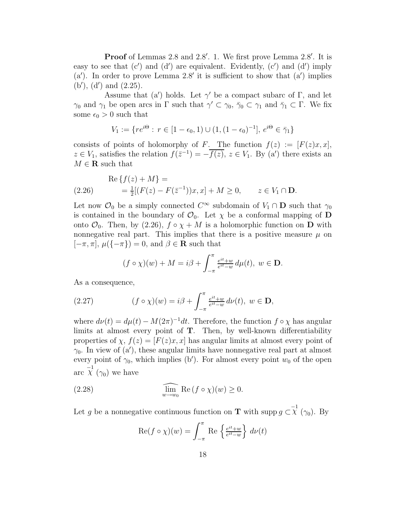Proof of Lemmas 2.8 and 2.8'. 1. We first prove Lemma 2.8'. It is easy to see that  $(c')$  and  $(d')$  are equivalent. Evidently,  $(c')$  and  $(d')$  imply  $(a')$ . In order to prove Lemma 2.8' it is sufficient to show that  $(a')$  implies (b′ ), (d′ ) and (2.25).

Assume that (a') holds. Let  $\gamma'$  be a compact subarc of  $\Gamma$ , and let  $\gamma_0$  and  $\gamma_1$  be open arcs in  $\Gamma$  such that  $\gamma' \subset \gamma_0$ ,  $\bar{\gamma}_0 \subset \gamma_1$  and  $\bar{\gamma}_1 \subset \Gamma$ . We fix some  $\epsilon_0 > 0$  such that

$$
V_1 := \{ re^{i\Theta} : r \in [1 - \epsilon_0, 1) \cup (1, (1 - \epsilon_0)^{-1}], e^{i\Theta} \in \bar{\gamma}_1 \}
$$

consists of points of holomorphy of F. The function  $f(z) := [F(z)x, x]$ ,  $z \in V_1$ , satisfies the relation  $f(\bar{z}^{-1}) = -\overline{f(z)}$ ,  $z \in V_1$ . By (a') there exists an  $M \in {\bf R}$  such that

$$
\text{Re}\left\{f(z) + M\right\} =
$$
\n
$$
(2.26) \quad \text{Re}\left\{f(z) - F(\bar{z}^{-1})\right\}x, x\right\} + M \ge 0, \quad z \in V_1 \cap \mathbf{D}.
$$

Let now  $\mathcal{O}_0$  be a simply connected  $C^{\infty}$  subdomain of  $V_1 \cap \mathbf{D}$  such that  $\gamma_0$ is contained in the boundary of  $\mathcal{O}_0$ . Let  $\chi$  be a conformal mapping of **D** onto  $\mathcal{O}_0$ . Then, by (2.26),  $f \circ \chi + M$  is a holomorphic function on **D** with nonnegative real part. This implies that there is a positive measure  $\mu$  on  $[-\pi, \pi], \mu({-\pi}) = 0$ , and  $\beta \in \mathbf{R}$  such that

$$
(f \circ \chi)(w) + M = i\beta + \int_{-\pi}^{\pi} \frac{e^{it} + w}{e^{it} - w} d\mu(t), \ w \in \mathbf{D}.
$$

As a consequence,

(2.27) 
$$
(f \circ \chi)(w) = i\beta + \int_{-\pi}^{\pi} \frac{e^{it} + w}{e^{it} - w} d\nu(t), w \in \mathbf{D},
$$

where  $d\nu(t) = d\mu(t) - M(2\pi)^{-1}dt$ . Therefore, the function  $f \circ \chi$  has angular limits at almost every point of T. Then, by well-known differentiability properties of  $\chi$ ,  $f(z) = [F(z)x, x]$  has angular limits at almost every point of  $\gamma_0$ . In view of  $(a')$ , these angular limits have nonnegative real part at almost every point of  $\gamma_0$ , which implies (b'). For almost every point  $w_0$  of the open arc  $\chi^{-1}(\gamma_0)$  we have

(2.28) 
$$
\lim_{w \to w_0} \operatorname{Re} (f \circ \chi)(w) \ge 0.
$$

Let g be a nonnegative continuous function on **T** with supp  $g \subset \chi^{-1}(\gamma_0)$ . By

$$
\operatorname{Re}(f \circ \chi)(w) = \int_{-\pi}^{\pi} \operatorname{Re} \left\{ \frac{e^{it} + w}{e^{it} - w} \right\} d\nu(t)
$$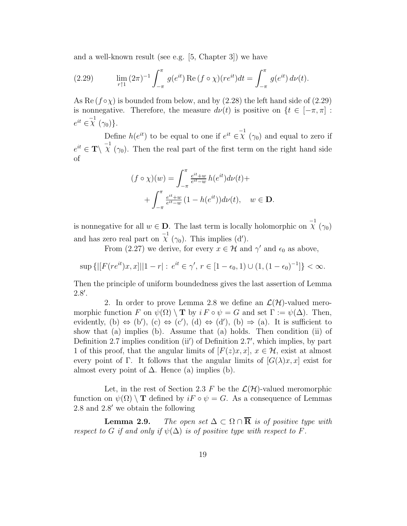and a well-known result (see e.g. [5, Chapter 3]) we have

(2.29) 
$$
\lim_{r \uparrow 1} (2\pi)^{-1} \int_{-\pi}^{\pi} g(e^{it}) \operatorname{Re} (f \circ \chi)(re^{it}) dt = \int_{-\pi}^{\pi} g(e^{it}) d\nu(t).
$$

As Re  $(f \circ \chi)$  is bounded from below, and by (2.28) the left hand side of (2.29) is nonnegative. Therefore, the measure  $d\nu(t)$  is positive on  $\{t \in [-\pi, \pi]:$  $e^{it} \in \chi^{-1}(\gamma_0)$ .

Define  $h(e^{it})$  to be equal to one if  $e^{it} \in \chi^{-1}(\gamma_0)$  and equal to zero if  $e^{it} \in \mathbf{T} \setminus \mathcal{X}^{-1}(\gamma_0)$ . Then the real part of the first term on the right hand side of

$$
(f \circ \chi)(w) = \int_{-\pi}^{\pi} \frac{e^{it} + w}{e^{it} - w} h(e^{it}) d\nu(t) +
$$

$$
+ \int_{-\pi}^{\pi} \frac{e^{it} + w}{e^{it} - w} (1 - h(e^{it})) d\nu(t), \quad w \in \mathbf{D}.
$$

is nonnegative for all  $w \in \mathbf{D}$ . The last term is locally holomorphic on  $\chi^{-1}(\gamma_0)$ and has zero real part on  $\chi^{-1}(\gamma_0)$ . This implies (d').

From (2.27) we derive, for every  $x \in \mathcal{H}$  and  $\gamma'$  and  $\epsilon_0$  as above,

 $\sup\left\{\left|\left[F(re^{it})x,x\right]\right|\left|1-r\right|\colon e^{it}\in\gamma',\,r\in[1-\epsilon_0,1)\cup(1,(1-\epsilon_0)^{-1}]\right\}<\infty.$ 

Then the principle of uniform boundedness gives the last assertion of Lemma 2.8′ .

2. In order to prove Lemma 2.8 we define an  $\mathcal{L}(\mathcal{H})$ -valued meromorphic function F on  $\psi(\Omega) \setminus T$  by  $i F \circ \psi = G$  and set  $\Gamma := \psi(\Delta)$ . Then, evidently, (b)  $\Leftrightarrow$  (b'), (c)  $\Leftrightarrow$  (c'), (d)  $\Leftrightarrow$  (d'), (b)  $\Rightarrow$  (a). It is sufficient to show that (a) implies (b). Assume that (a) holds. Then condition (ii) of Definition 2.7 implies condition (ii') of Definition 2.7', which implies, by part 1 of this proof, that the angular limits of  $[F(z)x, x]$ ,  $x \in \mathcal{H}$ , exist at almost every point of Γ. It follows that the angular limits of  $[G(\lambda)x, x]$  exist for almost every point of  $\Delta$ . Hence (a) implies (b).

Let, in the rest of Section 2.3 F be the  $\mathcal{L}(\mathcal{H})$ -valued meromorphic function on  $\psi(\Omega) \setminus T$  defined by  $i \in \mathcal{F} \circ \psi = G$ . As a consequence of Lemmas 2.8 and 2.8′ we obtain the following

**Lemma 2.9.** The open set  $\Delta \subset \Omega \cap \overline{\mathbf{R}}$  is of positive type with respect to G if and only if  $\psi(\Delta)$  is of positive type with respect to F.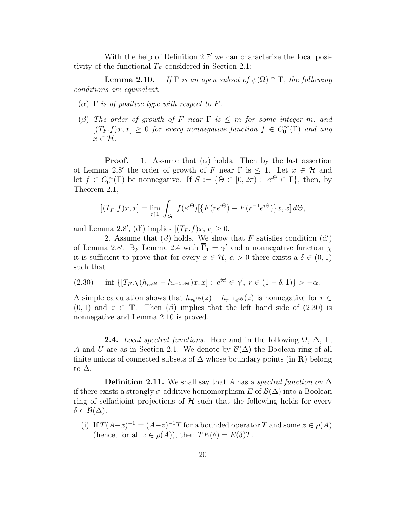With the help of Definition 2.7′ we can characterize the local positivity of the functional  $T_F$  considered in Section 2.1:

**Lemma 2.10.** If  $\Gamma$  is an open subset of  $\psi(\Omega) \cap \mathbf{T}$ , the following conditions are equivalent.

- ( $\alpha$ )  $\Gamma$  is of positive type with respect to F.
- (β) The order of growth of F near  $\Gamma$  is  $\leq m$  for some integer m, and  $[(T_F.f)x, x] \geq 0$  for every nonnegative function  $f \in C_0^{\infty}(\Gamma)$  and any  $x \in \mathcal{H}$ .

**Proof.** 1. Assume that  $(\alpha)$  holds. Then by the last assertion of Lemma 2.8' the order of growth of F near  $\Gamma$  is  $\leq$  1. Let  $x \in \mathcal{H}$  and let  $f \in C_0^{\infty}(\Gamma)$  be nonnegative. If  $S := \{ \Theta \in [0, 2\pi) : e^{i\Theta} \in \Gamma \}$ , then, by Theorem 2.1,

$$
[(T_F. f)x, x] = \lim_{r \uparrow 1} \int_{S_0} f(e^{i\Theta}) [\{ F(re^{i\Theta}) - F(r^{-1}e^{i\Theta}) \} x, x] d\Theta,
$$

and Lemma 2.8', (d') implies  $[(T_F.f)x, x] \ge 0$ .

2. Assume that  $(\beta)$  holds. We show that F satisfies condition  $(d')$ of Lemma 2.8'. By Lemma 2.4 with  $\overline{\Gamma}_1 = \gamma'$  and a nonnegative function  $\chi$ it is sufficient to prove that for every  $x \in \mathcal{H}$ ,  $\alpha > 0$  there exists a  $\delta \in (0,1)$ such that

(2.30) 
$$
\inf \{ [T_F, \chi(h_{re^{i\Theta}} - h_{r^{-1}e^{i\Theta}})x, x] : e^{i\Theta} \in \gamma', r \in (1 - \delta, 1) \} > -\alpha.
$$

A simple calculation shows that  $h_{re^{i\Theta}}(z) - h_{r^{-1}e^{i\Theta}}(z)$  is nonnegative for  $r \in$  $(0, 1)$  and  $z \in \mathbf{T}$ . Then  $(\beta)$  implies that the left hand side of  $(2.30)$  is nonnegative and Lemma 2.10 is proved.

**2.4.** Local spectral functions. Here and in the following  $\Omega$ ,  $\Delta$ ,  $\Gamma$ , A and U are as in Section 2.1. We denote by  $\mathcal{B}(\Delta)$  the Boolean ring of all finite unions of connected subsets of  $\Delta$  whose boundary points (in **R**) belong to  $\Delta$ .

**Definition 2.11.** We shall say that A has a spectral function on  $\Delta$ if there exists a strongly  $\sigma$ -additive homomorphism E of  $\mathcal{B}(\Delta)$  into a Boolean ring of selfadjoint projections of  $\mathcal H$  such that the following holds for every  $\delta \in \mathcal{B}(\Delta).$ 

(i) If  $T(A-z)^{-1} = (A-z)^{-1}T$  for a bounded operator T and some  $z \in \rho(A)$ (hence, for all  $z \in \rho(A)$ ), then  $TE(\delta) = E(\delta)T$ .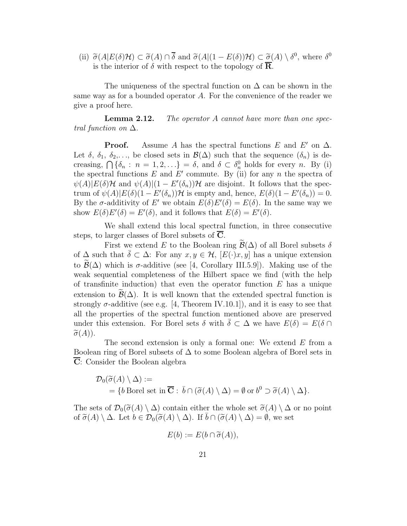(ii)  $\widetilde{\sigma}(A|E(\delta)\mathcal{H}) \subset \widetilde{\sigma}(A) \cap \overline{\delta}$  and  $\widetilde{\sigma}(A|(1 - E(\delta))\mathcal{H}) \subset \widetilde{\sigma}(A) \setminus \delta^0$ , where  $\delta^0$ is the interior of  $\delta$  with respect to the topology of  $\overline{\mathbf{R}}$ .

The uniqueness of the spectral function on  $\Delta$  can be shown in the same way as for a bounded operator A. For the convenience of the reader we give a proof here.

**Lemma 2.12.** The operator A cannot have more than one spectral function on  $\Delta$ .

**Proof.** Assume A has the spectral functions E and E' on  $\Delta$ . Let  $\delta$ ,  $\delta_1$ ,  $\delta_2$ ,..., be closed sets in  $\mathcal{B}(\Delta)$  such that the sequence  $(\delta_n)$  is decreasing,  $\bigcap {\delta_n : n = 1, 2, \ldots} = \delta$ , and  $\delta \subset \delta_n^0$  holds for every *n*. By (i) the spectral functions  $E$  and  $E'$  commute. By (ii) for any n the spectra of  $\psi(A)|E(\delta)$ H and  $\psi(A)|(1 - E'(\delta_n))$ H are disjoint. It follows that the spectrum of  $\psi(A)|E(\delta)(1 - E'(\delta_n))\mathcal{H}$  is empty and, hence,  $E(\delta)(1 - E'(\delta_n)) = 0$ . By the  $\sigma$ -additivity of E' we obtain  $E(\delta)E'(\delta) = E(\delta)$ . In the same way we show  $E(\delta)E'(\delta) = E'(\delta)$ , and it follows that  $E(\delta) = E'(\delta)$ .

We shall extend this local spectral function, in three consecutive steps, to larger classes of Borel subsets of C.

First we extend E to the Boolean ring  $\mathcal{B}(\Delta)$  of all Borel subsets  $\delta$ of  $\Delta$  such that  $\delta \subset \Delta$ : For any  $x, y \in \mathcal{H}$ ,  $[E(\cdot)x, y]$  has a unique extension to  $\mathcal{B}(\Delta)$  which is  $\sigma$ -additive (see [4, Corollary III.5.9]). Making use of the weak sequential completeness of the Hilbert space we find (with the help of transfinite induction) that even the operator function  $E$  has a unique extension to  $\widetilde{\mathcal{B}}(\Delta)$ . It is well known that the extended spectral function is strongly  $\sigma$ -additive (see e.g. [4, Theorem IV.10.1]), and it is easy to see that all the properties of the spectral function mentioned above are preserved under this extension. For Borel sets  $\delta$  with  $\bar{\delta} \subset \Delta$  we have  $E(\delta) = E(\delta \cap \Delta)$  $\widetilde{\sigma}(A)$ ).

The second extension is only a formal one: We extend E from a Boolean ring of Borel subsets of  $\Delta$  to some Boolean algebra of Borel sets in  $\overline{C}$ : Consider the Boolean algebra

$$
\mathcal{D}_0(\widetilde{\sigma}(A) \setminus \Delta) :=
$$
  
= {b Borel set in  $\overline{C}$  :  $\overline{b} \cap (\widetilde{\sigma}(A) \setminus \Delta) = \emptyset$  or  $b^0 \supset \widetilde{\sigma}(A) \setminus \Delta$  }.

The sets of  $\mathcal{D}_0(\tilde{\sigma}(A) \setminus \Delta)$  contain either the whole set  $\tilde{\sigma}(A) \setminus \Delta$  or no point of  $\widetilde{\sigma}(A) \setminus \Delta$ . Let  $b \in \mathcal{D}_0(\widetilde{\sigma}(A) \setminus \Delta)$ . If  $\overline{b} \cap (\widetilde{\sigma}(A) \setminus \Delta) = \emptyset$ , we set

$$
E(b) := E(b \cap \tilde{\sigma}(A)),
$$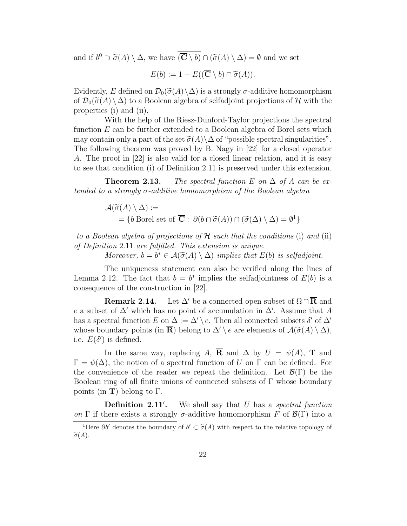and if  $b^0 \supset \widetilde{\sigma}(A) \setminus \Delta$ , we have  $(\overline{\mathbf{C}} \setminus b) \cap (\widetilde{\sigma}(A) \setminus \Delta) = \emptyset$  and we set

$$
E(b) := 1 - E((\overline{\mathbf{C}} \setminus b) \cap \widetilde{\sigma}(A)).
$$

Evidently, E defined on  $\mathcal{D}_0(\tilde{\sigma}(A)\setminus \Delta)$  is a strongly  $\sigma$ -additive homomorphism of  $\mathcal{D}_0(\tilde{\sigma}(A) \setminus \Delta)$  to a Boolean algebra of selfadjoint projections of H with the properties (i) and (ii).

With the help of the Riesz-Dunford-Taylor projections the spectral function E can be further extended to a Boolean algebra of Borel sets which may contain only a part of the set  $\tilde{\sigma}(A)\setminus\Delta$  of "possible spectral singularities". The following theorem was proved by B. Nagy in [22] for a closed operator A. The proof in [22] is also valid for a closed linear relation, and it is easy to see that condition (i) of Definition 2.11 is preserved under this extension.

**Theorem 2.13.** The spectral function E on  $\Delta$  of A can be extended to a strongly  $\sigma$ -additive homomorphism of the Boolean algebra

$$
\mathcal{A}(\widetilde{\sigma}(A) \setminus \Delta) :=
$$
  
= {b Borel set of  $\overline{\mathbf{C}}$  :  $\partial(b \cap \widetilde{\sigma}(A)) \cap (\widetilde{\sigma}(\Delta) \setminus \Delta) = \emptyset^1$ }

to a Boolean algebra of projections of  $\mathcal H$  such that the conditions (i) and (ii) of Definition 2.11 are fulfilled. This extension is unique.

Moreover,  $b = b^* \in \mathcal{A}(\widetilde{\sigma}(A) \setminus \Delta)$  implies that  $E(b)$  is selfadjoint.

The uniqueness statement can also be verified along the lines of Lemma 2.12. The fact that  $b = b^*$  implies the selfadjointness of  $E(b)$  is a consequence of the construction in [22].

**Remark 2.14.** Let  $\Delta'$  be a connected open subset of  $\Omega \cap \overline{\mathbf{R}}$  and e a subset of  $\Delta'$  which has no point of accumulation in  $\Delta'$ . Assume that A has a spectral function E on  $\Delta := \Delta' \setminus e$ . Then all connected subsets  $\delta'$  of  $\Delta'$ whose boundary points (in  $\overline{\mathbf{R}}$ ) belong to  $\Delta' \setminus e$  are elements of  $\mathcal{A}(\widetilde{\sigma}(A) \setminus \Delta)$ , i.e.  $E(\delta')$  is defined.

In the same way, replacing A,  $\overline{R}$  and  $\Delta$  by  $U = \psi(A)$ , **T** and  $\Gamma = \psi(\Delta)$ , the notion of a spectral function of U on  $\Gamma$  can be defined. For the convenience of the reader we repeat the definition. Let  $\mathcal{B}(\Gamma)$  be the Boolean ring of all finite unions of connected subsets of  $\Gamma$  whose boundary points (in **T**) belong to  $\Gamma$ .

Definition 2.11<sup>'</sup>. We shall say that  $U$  has a spectral function on Γ if there exists a strongly  $\sigma$ -additive homomorphism F of  $\mathcal{B}(\Gamma)$  into a

<sup>&</sup>lt;sup>1</sup>Here  $\partial b'$  denotes the boundary of  $b' \subset \tilde{\sigma}(A)$  with respect to the relative topology of  $\widetilde{\sigma}(A)$ .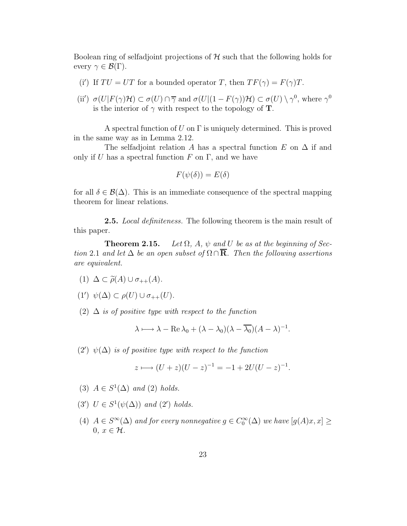Boolean ring of selfadjoint projections of  $H$  such that the following holds for every  $\gamma \in \mathcal{B}(\Gamma)$ .

- (i') If  $TU = UT$  for a bounded operator T, then  $TF(\gamma) = F(\gamma)T$ .
- (ii')  $\sigma(U|F(\gamma)H) \subset \sigma(U) \cap \overline{\gamma}$  and  $\sigma(U|(1 F(\gamma))H) \subset \sigma(U) \setminus \gamma^0$ , where  $\gamma^0$ is the interior of  $\gamma$  with respect to the topology of **T**.

A spectral function of U on  $\Gamma$  is uniquely determined. This is proved in the same way as in Lemma 2.12.

The selfadjoint relation A has a spectral function E on  $\Delta$  if and only if U has a spectral function F on  $\Gamma$ , and we have

$$
F(\psi(\delta)) = E(\delta)
$$

for all  $\delta \in \mathcal{B}(\Delta)$ . This is an immediate consequence of the spectral mapping theorem for linear relations.

**2.5.** Local definiteness. The following theorem is the main result of this paper.

**Theorem 2.15.** Let  $\Omega$ ,  $A$ ,  $\psi$  and U be as at the beginning of Section 2.1 and let  $\Delta$  be an open subset of  $\Omega \cap \overline{\mathbf{R}}$ . Then the following assertions are equivalent.

- (1)  $\Delta \subset \widetilde{\rho}(A) \cup \sigma_{++}(A)$ .
- (1')  $\psi(\Delta) \subset \rho(U) \cup \sigma_{++}(U)$ .
- (2)  $\Delta$  is of positive type with respect to the function

$$
\lambda \longmapsto \lambda - \operatorname{Re} \lambda_0 + (\lambda - \lambda_0)(\lambda - \overline{\lambda_0})(A - \lambda)^{-1}.
$$

(2')  $\psi(\Delta)$  is of positive type with respect to the function

$$
z \longmapsto (U+z)(U-z)^{-1} = -1 + 2U(U-z)^{-1}.
$$

- (3)  $A \in S^1(\Delta)$  and (2) holds.
- (3')  $U \in S^1(\psi(\Delta))$  and (2') holds.
- (4)  $A \in S^{\infty}(\Delta)$  and for every nonnegative  $g \in C_0^{\infty}(\Delta)$  we have  $[g(A)x, x] \geq$  $0, x \in \mathcal{H}$ .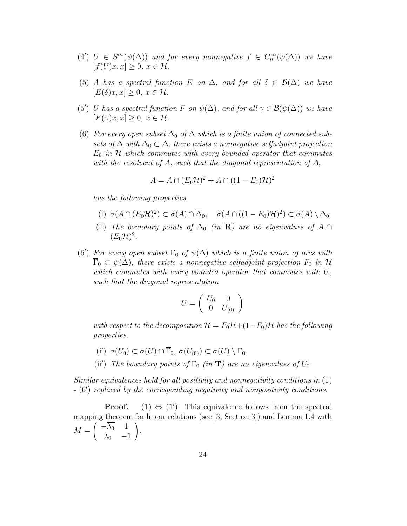- (4')  $U \in S^{\infty}(\psi(\Delta))$  and for every nonnegative  $f \in C_0^{\infty}(\psi(\Delta))$  we have  $[f(U)x, x] > 0, x \in \mathcal{H}.$
- (5) A has a spectral function E on  $\Delta$ , and for all  $\delta \in \mathcal{B}(\Delta)$  we have  $[E(\delta)x, x] > 0, x \in \mathcal{H}.$
- (5') U has a spectral function F on  $\psi(\Delta)$ , and for all  $\gamma \in \mathcal{B}(\psi(\Delta))$  we have  $[F(\gamma)x, x] > 0, x \in \mathcal{H}.$
- (6) For every open subset  $\Delta_0$  of  $\Delta$  which is a finite union of connected subsets of  $\Delta$  with  $\overline{\Delta}_0 \subset \Delta$ , there exists a nonnegative selfadjoint projection  $E_0$  in H which commutes with every bounded operator that commutes with the resolvent of A, such that the diagonal representation of A,

$$
A = A \cap (E_0 \mathcal{H})^2 + A \cap ((1 - E_0)\mathcal{H})^2
$$

has the following properties.

- (i)  $\widetilde{\sigma}(A \cap (E_0 \mathcal{H})^2) \subset \widetilde{\sigma}(A) \cap \overline{\Delta}_0$ ,  $\widetilde{\sigma}(A \cap ((1 E_0) \mathcal{H})^2) \subset \widetilde{\sigma}(A) \setminus \Delta_0$ .
- (ii) The boundary points of  $\Delta_0$  (in  $\overline{\mathbf{R}}$ ) are no eigenvalues of A ∩  $(E_0\mathcal{H})^2$ .
- (6') For every open subset  $\Gamma_0$  of  $\psi(\Delta)$  which is a finite union of arcs with  $\overline{\Gamma}_0 \subset \psi(\Delta)$ , there exists a nonnegative selfadjoint projection  $F_0$  in H which commutes with every bounded operator that commutes with  $U$ , such that the diagonal representation

$$
U=\left(\begin{array}{cc}U_0&0\\0&U_{(0)}\end{array}\right)
$$

with respect to the decomposition  $\mathcal{H} = F_0\mathcal{H} + (1-F_0)\mathcal{H}$  has the following properties.

- (i')  $\sigma(U_0) \subset \sigma(U) \cap \overline{\Gamma}_0$ ,  $\sigma(U_{(0)}) \subset \sigma(U) \setminus \Gamma_0$ .
- (ii') The boundary points of  $\Gamma_0$  (in **T**) are no eigenvalues of  $U_0$ .

Similar equivalences hold for all positivity and nonnegativity conditions in (1) - (6′ ) replaced by the corresponding negativity and nonpositivity conditions.

**Proof.** (1)  $\Leftrightarrow$  (1'): This equivalence follows from the spectral mapping theorem for linear relations (see [3, Section 3]) and Lemma 1.4 with  $M =$  $\begin{pmatrix} -\overline{\lambda_0} & 1 \\ \lambda_0 & -1 \end{pmatrix}$  $\setminus$  $\cdot$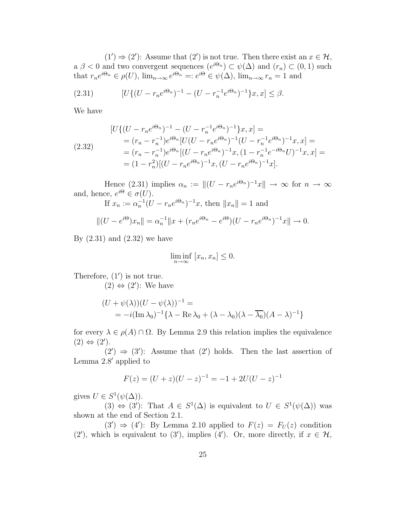$(1') \Rightarrow (2')$ : Assume that  $(2')$  is not true. Then there exist an  $x \in \mathcal{H}$ , a  $\beta$  < 0 and two convergent sequences  $(e^{i\Theta_n}) \subset \psi(\Delta)$  and  $(r_n) \subset (0,1)$  such that  $r_n e^{i\Theta_n} \in \rho(U)$ ,  $\lim_{n\to\infty} e^{i\Theta_n} =: e^{i\Theta} \in \psi(\Delta)$ ,  $\lim_{n\to\infty} r_n = 1$  and

(2.31) 
$$
[U\{(U-r_ne^{i\Theta_n})^{-1}-(U-r_n^{-1}e^{i\Theta_n})^{-1}\}x,x]\leq \beta.
$$

We have

$$
[U\{(U - r_n e^{i\Theta_n})^{-1} - (U - r_n^{-1} e^{i\Theta_n})^{-1}\}x, x] =
$$
  
\n
$$
= (r_n - r_n^{-1})e^{i\Theta_n}[U(U - r_n e^{i\Theta_n})^{-1}(U - r_n^{-1} e^{i\Theta_n})^{-1}x, x] =
$$
  
\n
$$
= (r_n - r_n^{-1})e^{i\Theta_n}[(U - r_n e^{i\Theta_n})^{-1}x, (1 - r_n^{-1} e^{-i\Theta_n}U)^{-1}x, x] =
$$
  
\n
$$
= (1 - r_n^2)[(U - r_n e^{i\Theta_n})^{-1}x, (U - r_n e^{i\Theta_n})^{-1}x].
$$

Hence (2.31) implies  $\alpha_n := ||(U - r_n e^{i\Theta_n})^{-1}x|| \to \infty$  for  $n \to \infty$ and, hence,  $e^{i\Theta} \in \sigma(U)$ .

If 
$$
x_n := \alpha_n^{-1} (U - r_n e^{i\Theta_n})^{-1} x
$$
, then  $||x_n|| = 1$  and

$$
||(U - e^{i\Theta})x_n|| = \alpha_n^{-1}||x + (r_n e^{i\Theta_n} - e^{i\Theta})(U - r_n e^{i\Theta_n})^{-1}x|| \to 0.
$$

By  $(2.31)$  and  $(2.32)$  we have

$$
\liminf_{n \to \infty} [x_n, x_n] \le 0.
$$

Therefore,  $(1')$  is not true.

 $(2)$  ⇔  $(2')$ : We have

$$
(U + \psi(\lambda))(U - \psi(\lambda))^{-1} =
$$
  
=  $-i(\text{Im }\lambda_0)^{-1}\{\lambda - \text{Re }\lambda_0 + (\lambda - \lambda_0)(\lambda - \overline{\lambda_0})(A - \lambda)^{-1}\}$ 

for every  $\lambda \in \rho(A) \cap \Omega$ . By Lemma 2.9 this relation implies the equivalence  $(2) \Leftrightarrow (2')$ .

 $(2') \Rightarrow (3')$ : Assume that  $(2')$  holds. Then the last assertion of Lemma 2.8′ applied to

$$
F(z) = (U + z)(U - z)^{-1} = -1 + 2U(U - z)^{-1}
$$

gives  $U \in S^1(\psi(\Delta)).$ 

(3)  $\Leftrightarrow$  (3'): That  $A \in S^1(\Delta)$  is equivalent to  $U \in S^1(\psi(\Delta))$  was shown at the end of Section 2.1.

 $(3') \Rightarrow (4')$ : By Lemma 2.10 applied to  $F(z) = F<sub>U</sub>(z)$  condition (2'), which is equivalent to (3'), implies (4'). Or, more directly, if  $x \in \mathcal{H}$ ,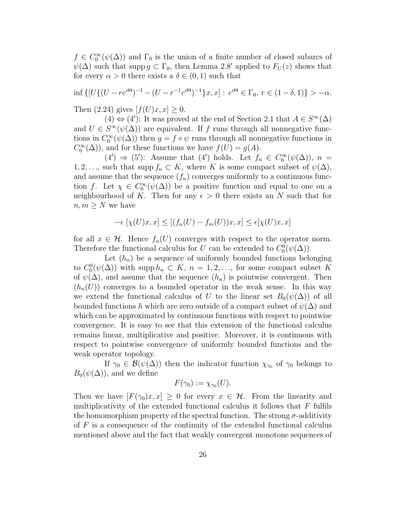$f \in C_0^{\infty}(\psi(\Delta))$  and  $\Gamma_0$  is the union of a finite number of closed subarcs of  $\psi(\Delta)$  such that supp  $g \subset \Gamma_0$ , then Lemma 2.8' applied to  $F_U(z)$  shows that for every  $\alpha > 0$  there exists a  $\delta \in (0,1)$  such that

$$
\inf \{ [U\{ (U-re^{i\Theta})^{-1} - (U-r^{-1}e^{i\Theta})^{-1} \}x, x] : e^{i\Theta} \in \Gamma_0, r \in (1-\delta, 1) \} > -\alpha.
$$

Then  $(2.24)$  gives  $[f(U)x, x] \geq 0$ .

 $(4) \Leftrightarrow (4')$ : It was proved at the end of Section 2.1 that  $A \in S^{\infty}(\Delta)$ and  $U \in S^{\infty}(\psi(\Delta))$  are equivalent. If f runs through all nonnegative functions in  $C_0^{\infty}(\psi(\Delta))$  then  $g = f \circ \psi$  runs through all nonnegative functions in  $C_0^{\infty}(\Delta)$ , and for these functions we have  $f(U) = g(A)$ .

 $(4') \Rightarrow (5')$ : Assume that  $(4')$  holds. Let  $f_n \in C_0^{\infty}(\psi(\Delta))$ ,  $n =$ 1, 2, ..., such that supp  $f_n \subset K$ , where K is some compact subset of  $\psi(\Delta)$ , and assume that the sequence  $(f_n)$  converges uniformly to a continuous function f. Let  $\chi \in C_0^{\infty}(\psi(\Delta))$  be a positive function and equal to one on a neighbourhood of K. Then for any  $\epsilon > 0$  there exists an N such that for  $n, m \geq N$  we have

$$
-\epsilon \left[ \chi(U)x, x \right] \le \left[ (f_n(U) - f_m(U))x, x \right] \le \epsilon [\chi(U)x, x]
$$

for all  $x \in \mathcal{H}$ . Hence  $f_n(U)$  converges with respect to the operator norm. Therefore the functional calculus for U can be extended to  $C_0^0(\psi(\Delta))$ .

Let  $(h_n)$  be a sequence of uniformly bounded functions belonging to  $C_0^0(\psi(\Delta))$  with supp  $h_n \subset K$ ,  $n = 1, 2, \ldots$ , for some compact subset K of  $\psi(\Delta)$ , and assume that the sequence  $(h_n)$  is pointwise convergent. Then  $(h_n(U))$  converges to a bounded operator in the weak sense. In this way we extend the functional calculus of U to the linear set  $B_0(\psi(\Delta))$  of all bounded functions h which are zero outside of a compact subset of  $\psi(\Delta)$  and which can be approximated by continuous functions with respect to pointwise convergence. It is easy to see that this extension of the functional calculus remains linear, multiplicative and positive. Moreover, it is continuous with respect to pointwise convergence of uniformly bounded functions and the weak operator topology.

If  $\gamma_0 \in \mathcal{B}(\psi(\Delta))$  then the indicator function  $\chi_{\gamma_0}$  of  $\gamma_0$  belongs to  $B_0(\psi(\Delta))$ , and we define

$$
F(\gamma_0) := \chi_{\gamma_0}(U).
$$

Then we have  $[F(\gamma_0)x, x] \geq 0$  for every  $x \in \mathcal{H}$ . From the linearity and multiplicativity of the extended functional calculus it follows that  $F$  fulfils the homomorphism property of the spectral function. The strong  $\sigma$ -additivity of  $F$  is a consequence of the continuity of the extended functional calculus mentioned above and the fact that weakly convergent monotone sequences of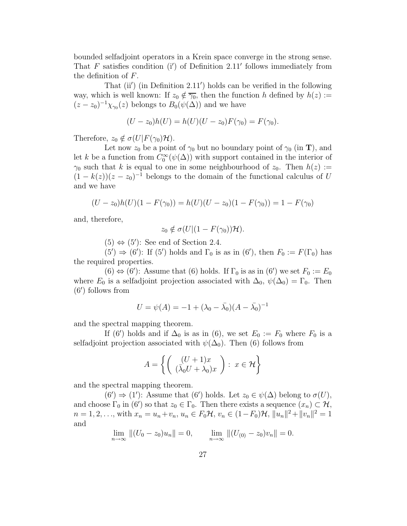bounded selfadjoint operators in a Krein space converge in the strong sense. That  $F$  satisfies condition (i') of Definition 2.11' follows immediately from the definition of F.

That (ii′ ) (in Definition 2.11′ ) holds can be verified in the following way, which is well known: If  $z_0 \notin \overline{\gamma_0}$ , then the function h defined by  $h(z) :=$  $(z-z_0)^{-1}\chi_{\gamma_0}(z)$  belongs to  $B_0(\psi(\Delta))$  and we have

$$
(U - z_0)h(U) = h(U)(U - z_0)F(\gamma_0) = F(\gamma_0).
$$

Therefore,  $z_0 \notin \sigma(U|F(\gamma_0)H)$ .

Let now  $z_0$  be a point of  $\gamma_0$  but no boundary point of  $\gamma_0$  (in **T**), and let k be a function from  $C_0^{\infty}(\psi(\Delta))$  with support contained in the interior of  $\gamma_0$  such that k is equal to one in some neighbourhood of  $z_0$ . Then  $h(z) :=$  $(1 - k(z))(z - z_0)^{-1}$  belongs to the domain of the functional calculus of U and we have

$$
(U - z_0)h(U)(1 - F(\gamma_0)) = h(U)(U - z_0)(1 - F(\gamma_0)) = 1 - F(\gamma_0)
$$

and, therefore,

$$
z_0 \notin \sigma(U|(1 - F(\gamma_0))\mathcal{H}).
$$

 $(5) \Leftrightarrow (5')$ : See end of Section 2.4.

 $(5') \Rightarrow (6')$ : If  $(5')$  holds and  $\Gamma_0$  is as in  $(6')$ , then  $F_0 := F(\Gamma_0)$  has the required properties.

 $(6) \Leftrightarrow (6')$ : Assume that  $(6)$  holds. If  $\Gamma_0$  is as in  $(6')$  we set  $F_0 := E_0$ where  $E_0$  is a selfadjoint projection associated with  $\Delta_0$ ,  $\psi(\Delta_0) = \Gamma_0$ . Then (6′ ) follows from

$$
U = \psi(A) = -1 + (\lambda_0 - \bar{\lambda_0})(A - \bar{\lambda_0})^{-1}
$$

and the spectral mapping theorem.

If (6') holds and if  $\Delta_0$  is as in (6), we set  $E_0 := F_0$  where  $F_0$  is a selfadjoint projection associated with  $\psi(\Delta_0)$ . Then (6) follows from

$$
A = \left\{ \left( \begin{array}{c} (U+1)x \\ (\bar{\lambda}_0 U + \lambda_0)x \end{array} \right) : x \in \mathcal{H} \right\}
$$

and the spectral mapping theorem.

 $(6') \Rightarrow (1')$ : Assume that  $(6')$  holds. Let  $z_0 \in \psi(\Delta)$  belong to  $\sigma(U)$ , and choose  $\Gamma_0$  in (6') so that  $z_0 \in \Gamma_0$ . Then there exists a sequence  $(x_n) \subset \mathcal{H}$ ,  $n = 1, 2, \ldots$ , with  $x_n = u_n + v_n$ ,  $u_n \in F_0\mathcal{H}$ ,  $v_n \in (1 - F_0)\mathcal{H}$ ,  $||u_n||^2 + ||v_n||^2 = 1$ and

$$
\lim_{n \to \infty} ||(U_0 - z_0)u_n|| = 0, \qquad \lim_{n \to \infty} ||(U_{(0)} - z_0)v_n|| = 0.
$$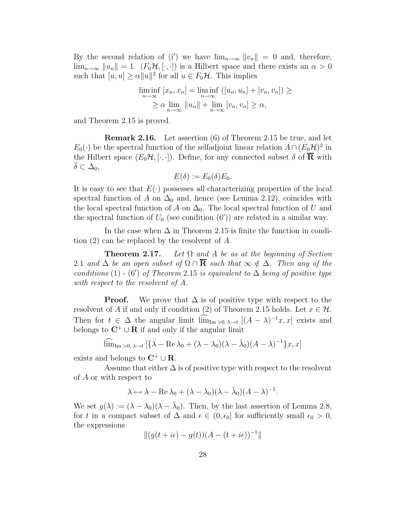By the second relation of (i') we have  $\lim_{n\to\infty} ||v_n|| = 0$  and, therefore,  $\lim_{n\to\infty} ||u_n|| = 1.$   $(F_0\mathcal{H}, [\cdot, \cdot])$  is a Hilbert space and there exists an  $\alpha > 0$ such that  $[u, u] \ge \alpha ||u||^2$  for all  $u \in F_0\mathcal{H}$ . This implies

$$
\liminf_{n \to \infty} [x_n, x_n] = \liminf_{n \to \infty} ([u_n, u_n] + [v_n, v_n]) \ge
$$
  
\n
$$
\ge \alpha \lim_{n \to \infty} ||u_n|| + \lim_{n \to \infty} [v_n, v_n] \ge \alpha,
$$

and Theorem 2.15 is proved.

Remark 2.16. Let assertion (6) of Theorem 2.15 be true, and let  $E_0(\cdot)$  be the spectral function of the selfadjoint linear relation  $A \cap (E_0 \mathcal{H})^2$  in the Hilbert space  $(E_0\mathcal{H}, [\cdot, \cdot])$ . Define, for any connected subset  $\delta$  of  $\overline{\mathbf{R}}$  with  $\delta \subset \Delta_0$ ,

$$
E(\delta) := E_0(\delta) E_0.
$$

It is easy to see that  $E(\cdot)$  possesses all characterizing properties of the local spectral function of A on  $\Delta_0$  and, hence (see Lemma 2.12), coincides with the local spectral function of A on  $\Delta_0$ . The local spectral function of U and the spectral function of  $U_0$  (see condition  $(6')$ ) are related in a similar way.

In the case when  $\Delta$  in Theorem 2.15 is finite the function in condition (2) can be replaced by the resolvent of A.

**Theorem 2.17.** Let  $\Omega$  and A be as at the beginning of Section 2.1 and  $\Delta$  be an open subset of  $\Omega \cap \overline{R}$  such that  $\infty \notin \Delta$ . Then any of the conditions (1) - (6') of Theorem 2.15 is equivalent to  $\Delta$  being of positive type with respect to the resolvent of A.

**Proof.** We prove that  $\Delta$  is of positive type with respect to the resolvent of A if and only if condition (2) of Theorem 2.15 holds. Let  $x \in \mathcal{H}$ . Then for  $t \in \Delta$  the angular limit  $\lim_{\text{Im } >0, \lambda \to t} [(A - \lambda)^{-1}x, x]$  exists and belongs to  $C^+ \cup R$  if and only if the angular limit

$$
\lim_{\text{Im}\,z_0,\,\lambda\to t} \left[ \{ \lambda - \text{Re}\,\lambda_0 + (\lambda - \lambda_0)(\lambda - \bar{\lambda}_0)(A - \lambda)^{-1} \} x, x \right]
$$

exists and belongs to  $\mathbb{C}^+ \cup \mathbb{R}$ .

Assume that either  $\Delta$  is of positive type with respect to the resolvent of A or with respect to

$$
\lambda \mapsto \lambda - \operatorname{Re} \lambda_0 + (\lambda - \lambda_0)(\lambda - \bar{\lambda}_0)(A - \lambda)^{-1}.
$$

We set  $g(\lambda) := (\lambda - \lambda_0)(\lambda - \bar{\lambda}_0)$ . Then, by the last assertion of Lemma 2.8, for t in a compact subset of  $\Delta$  and  $\epsilon \in (0, \epsilon_0]$  for sufficiently small  $\epsilon_0 > 0$ , the expressions

$$
||(g(t + i\epsilon) - g(t))(A - (t + i\epsilon))^{-1}||
$$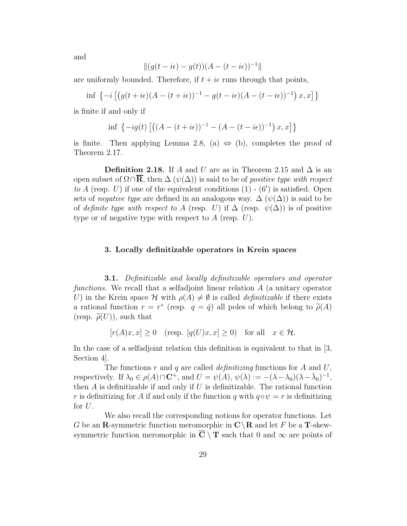and

$$
\|(g(t-i\epsilon)-g(t))(A-(t-i\epsilon))^{-1}\|
$$

are uniformly bounded. Therefore, if  $t + i\epsilon$  runs through that points,

$$
\inf \left\{-i\left[\left(g(t+i\epsilon)(A-(t+i\epsilon))^{-1}-g(t-i\epsilon)(A-(t-i\epsilon))^{-1}\right)x,x\right]\right\}
$$

is finite if and only if

$$
\inf \left\{ -ig(t) \left[ \left( (A - (t + i\epsilon))^{-1} - (A - (t - i\epsilon))^{-1} \right) x, x \right] \right\}
$$

is finite. Then applying Lemma 2.8, (a)  $\Leftrightarrow$  (b), completes the proof of Theorem 2.17.

**Definition 2.18.** If A and U are as in Theorem 2.15 and  $\Delta$  is an open subset of  $\Omega \cap \overline{\mathbf{R}}$ , then  $\Delta (\psi(\Delta))$  is said to be of *positive type with respect* to  $A$  (resp.  $U$ ) if one of the equivalent conditions  $(1)$  -  $(6')$  is satisfied. Open sets of *negative type* are defined in an analogous way.  $\Delta(\psi(\Delta))$  is said to be of definite type with respect to A (resp. U) if  $\Delta$  (resp.  $\psi(\Delta)$ ) is of positive type or of negative type with respect to  $A$  (resp.  $U$ ).

# 3. Locally definitizable operators in Krein spaces

**3.1.** Definitizable and locally definitizable operators and operator functions. We recall that a selfadjoint linear relation A (a unitary operator U) in the Krein space H with  $\rho(A) \neq \emptyset$  is called *definitizable* if there exists a rational function  $r = r^*$  (resp.  $q = \hat{q}$ ) all poles of which belong to  $\tilde{\rho}(A)$ (resp.  $\tilde{\rho}(U)$ ), such that

$$
[r(A)x, x] \ge 0 \quad (\text{resp. } [q(U)x, x] \ge 0) \quad \text{for all} \quad x \in \mathcal{H}.
$$

In the case of a selfadjoint relation this definition is equivalent to that in [3, Section 4].

The functions r and q are called *definitizing* functions for A and U, respectively. If  $\lambda_0 \in \rho(A) \cap \mathbf{C}^+$ , and  $U = \psi(A)$ ,  $\psi(\lambda) := -(\lambda - \lambda_0)(\lambda - \bar{\lambda}_0)^{-1}$ , then  $A$  is definitizable if and only if  $U$  is definitizable. The rational function r is definitizing for A if and only if the function q with  $q \circ \psi = r$  is definitizing for  $U$ .

We also recall the corresponding notions for operator functions. Let G be an **R**-symmetric function meromorphic in  $\mathbb{C}\setminus\mathbb{R}$  and let F be a **T**-skewsymmetric function meromorphic in  $\overline{C} \setminus T$  such that 0 and  $\infty$  are points of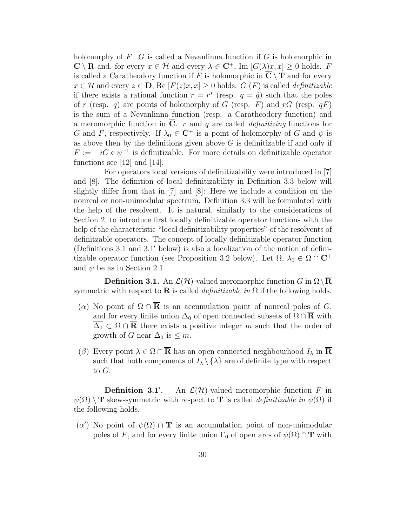holomorphy of  $F$ .  $G$  is called a Nevanlinna function if  $G$  is holomorphic in  $\mathbb{C} \setminus \mathbb{R}$  and, for every  $x \in \mathcal{H}$  and every  $\lambda \in \mathbb{C}^+$ , Im  $[G(\lambda)x, x] \geq 0$  holds. F is called a Caratheodory function if F is holomorphic in  $\mathbb{C} \setminus \mathbb{T}$  and for every  $x \in \mathcal{H}$  and every  $z \in \mathbf{D}$ , Re  $[F(z)x, x] \geq 0$  holds.  $G(F)$  is called *definitizable* if there exists a rational function  $r = r^*$  (resp.  $q = \hat{q}$ ) such that the poles of r (resp. q) are points of holomorphy of G (resp. F) and rG (resp.  $qF$ ) is the sum of a Nevanlinna function (resp. a Caratheodory function) and a meromorphic function in  $\overline{C}$ . r and q are called *definitizing* functions for G and F, respectively. If  $\lambda_0 \in \mathbb{C}^+$  is a point of holomorphy of G and  $\psi$  is as above then by the definitions given above  $G$  is definitizable if and only if  $F := -iG \circ \psi^{-1}$  is definitizable. For more details on definitizable operator functions see [12] and [14].

For operators local versions of definitizability were introduced in [7] and [8]. The definition of local definitizability in Definition 3.3 below will slightly differ from that in [7] and [8]: Here we include a condition on the nonreal or non-unimodular spectrum. Definition 3.3 will be formulated with the help of the resolvent. It is natural, similarly to the considerations of Section 2, to introduce first locally definitizable operator functions with the help of the characteristic "local definitizability properties" of the resolvents of definitzable operators. The concept of locally definitizable operator function (Definitions 3.1 and 3.1′ below) is also a localization of the notion of definitizable operator function (see Proposition 3.2 below). Let  $\Omega$ ,  $\lambda_0 \in \Omega \cap \mathbb{C}^+$ and  $\psi$  be as in Section 2.1.

**Definition 3.1.** An  $\mathcal{L}(\mathcal{H})$ -valued meromorphic function G in  $\Omega \setminus \mathbf{R}$ symmetric with respect to **R** is called *definitizable in*  $\Omega$  if the following holds.

- (α) No point of  $\Omega \cap \mathbf{R}$  is an accumulation point of nonreal poles of G, and for every finite union  $\Delta_0$  of open connected subsets of  $\Omega \cap \overline{\mathbf{R}}$  with  $\overline{\Delta_0} \subset \Omega \cap \overline{\mathbf{R}}$  there exists a positive integer m such that the order of growth of G near  $\Delta_0$  is  $\leq m$ .
- ( $\beta$ ) Every point  $\lambda \in \Omega \cap \overline{\mathbf{R}}$  has an open connected neighbourhood  $I_{\lambda}$  in  $\overline{\mathbf{R}}$ such that both components of  $I_{\lambda} \setminus \{\lambda\}$  are of definite type with respect to G.

Definition 3.1′ An  $\mathcal{L}(\mathcal{H})$ -valued meromorphic function F in  $\psi(\Omega) \setminus T$  skew-symmetric with respect to T is called *definitizable in*  $\psi(\Omega)$  if the following holds.

 $(\alpha')$  No point of  $\psi(\Omega) \cap T$  is an accumulation point of non-unimodular poles of F, and for every finite union  $\Gamma_0$  of open arcs of  $\psi(\Omega) \cap \mathbf{T}$  with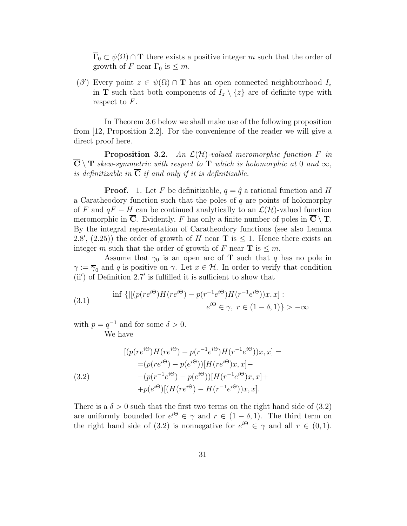$\overline{\Gamma}_0 \subset \psi(\Omega) \cap \mathbf{T}$  there exists a positive integer m such that the order of growth of F near  $\Gamma_0$  is  $\leq m$ .

 $(\beta')$  Every point  $z \in \psi(\Omega) \cap \mathbf{T}$  has an open connected neighbourhood  $I_z$ in **T** such that both components of  $I_z \setminus \{z\}$  are of definite type with respect to F.

In Theorem 3.6 below we shall make use of the following proposition from [12, Proposition 2.2]. For the convenience of the reader we will give a direct proof here.

**Proposition 3.2.** An  $\mathcal{L}(\mathcal{H})$ -valued meromorphic function F in  $\overline{\mathbf{C}} \setminus \mathbf{T}$  skew-symmetric with respect to  $\mathbf{T}$  which is holomorphic at 0 and  $\infty$ , is definitizable in  $\overline{C}$  if and only if it is definitizable.

**Proof.** 1. Let F be definitizable,  $q = \hat{q}$  a rational function and H a Caratheodory function such that the poles of  $q$  are points of holomorphy of F and  $qF - H$  can be continued analytically to an  $\mathcal{L}(\mathcal{H})$ -valued function meromorphic in  $\overline{C}$ . Evidently, F has only a finite number of poles in  $\overline{C} \setminus T$ . By the integral representation of Caratheodory functions (see also Lemma 2.8', (2.25)) the order of growth of H near **T** is  $\leq$  1. Hence there exists an integer m such that the order of growth of F near **T** is  $\leq m$ .

Assume that  $\gamma_0$  is an open arc of **T** such that q has no pole in  $\gamma := \overline{\gamma}_0$  and q is positive on  $\gamma$ . Let  $x \in \mathcal{H}$ . In order to verify that condition (ii′ ) of Definition 2.7′ is fulfilled it is sufficient to show that

(3.1) 
$$
\inf \left\{ \left| \left[ (p(re^{i\Theta})H(re^{i\Theta}) - p(r^{-1}e^{i\Theta})H(r^{-1}e^{i\Theta}))x, x \right] : \right. \\e^{i\Theta} \in \gamma, \ r \in (1 - \delta, 1) \right\} > -\infty
$$

with  $p = q^{-1}$  and for some  $\delta > 0$ . We have

(3.2)  
\n
$$
[(p(re^{i\Theta})H(re^{i\Theta}) - p(r^{-1}e^{i\Theta})H(r^{-1}e^{i\Theta}))x, x] =
$$
\n
$$
= (p(re^{i\Theta}) - p(e^{i\Theta}))[H(re^{i\Theta})x, x] -
$$
\n
$$
- (p(r^{-1}e^{i\Theta}) - p(e^{i\Theta}))[H(r^{-1}e^{i\Theta})x, x] +
$$
\n
$$
+ p(e^{i\Theta})[(H(re^{i\Theta}) - H(r^{-1}e^{i\Theta}))x, x].
$$

There is a  $\delta > 0$  such that the first two terms on the right hand side of (3.2) are uniformly bounded for  $e^{i\Theta} \in \gamma$  and  $r \in (1 - \delta, 1)$ . The third term on the right hand side of (3.2) is nonnegative for  $e^{i\Theta} \in \gamma$  and all  $r \in (0,1)$ .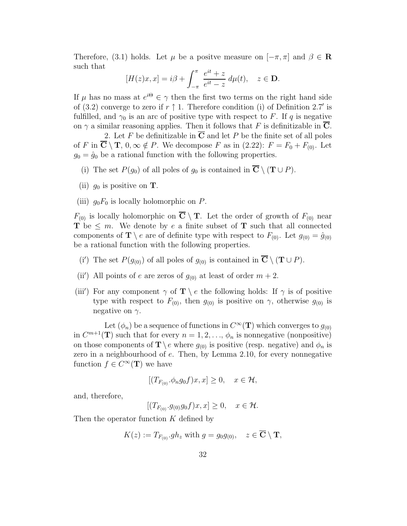Therefore, (3.1) holds. Let  $\mu$  be a positve measure on  $[-\pi, \pi]$  and  $\beta \in \mathbb{R}$ such that

$$
[H(z)x, x] = i\beta + \int_{-\pi}^{\pi} \frac{e^{it} + z}{e^{it} - z} d\mu(t), \quad z \in \mathbf{D}.
$$

If  $\mu$  has no mass at  $e^{i\Theta} \in \gamma$  then the first two terms on the right hand side of (3.2) converge to zero if  $r \uparrow 1$ . Therefore condition (i) of Definition 2.7' is fulfilled, and  $\gamma_0$  is an arc of positive type with respect to F. If q is negative on  $\gamma$  a similar reasoning applies. Then it follows that F is definitizable in C.

2. Let F be definitizable in  $C$  and let P be the finite set of all poles of F in  $\overline{\mathbf{C}} \setminus \mathbf{T}$ ,  $0, \infty \notin P$ . We decompose F as in  $(2.22)$ :  $F = F_0 + F_{(0)}$ . Let  $g_0 = \hat{g}_0$  be a rational function with the following properties.

- (i) The set  $P(g_0)$  of all poles of  $g_0$  is contained in  $\overline{\mathbf{C}} \setminus (\mathbf{T} \cup P)$ .
- (ii)  $g_0$  is positive on **T**.
- (iii)  $g_0F_0$  is locally holomorphic on P.

 $F_{(0)}$  is locally holomorphic on  $\overline{C} \setminus T$ . Let the order of growth of  $F_{(0)}$  near **T** be  $\leq m$ . We denote by e a finite subset of **T** such that all connected components of  $\mathbf{T} \setminus e$  are of definite type with respect to  $F_{(0)}$ . Let  $g_{(0)} = \hat{g}_{(0)}$ be a rational function with the following properties.

- (i') The set  $P(g_{(0)})$  of all poles of  $g_{(0)}$  is contained in  $\overline{\mathbf{C}} \setminus (\mathbf{T} \cup P)$ .
- (ii') All points of e are zeros of  $g_{(0)}$  at least of order  $m + 2$ .
- (iii') For any component  $\gamma$  of  $\mathbf{T} \setminus e$  the following holds: If  $\gamma$  is of positive type with respect to  $F_{(0)}$ , then  $g_{(0)}$  is positive on  $\gamma$ , otherwise  $g_{(0)}$  is negative on  $\gamma$ .

Let  $(\phi_n)$  be a sequence of functions in  $C^{\infty}(\mathbf{T})$  which converges to  $g_{(0)}$ in  $C^{m+1}(\mathbf{T})$  such that for every  $n = 1, 2, ..., \phi_n$  is nonnegative (nonpositive) on those components of  $\mathbf{T} \setminus e$  where  $g_{(0)}$  is positive (resp. negative) and  $\phi_n$  is zero in a neighbourhood of e. Then, by Lemma 2.10, for every nonnegative function  $f \in C^{\infty}(\mathbf{T})$  we have

$$
[(T_{F_{(0)}}.\phi_n g_0 f)x, x] \ge 0, \quad x \in \mathcal{H},
$$

and, therefore,

 $[(T_{F_{(0)}}.g_{(0)}g_0f)x, x] \geq 0, \quad x \in \mathcal{H}.$ 

Then the operator function K defined by

$$
K(z) := T_{F_{(0)}} g h_z \text{ with } g = g_0 g_{(0)}, \quad z \in \overline{\mathbf{C}} \setminus \mathbf{T},
$$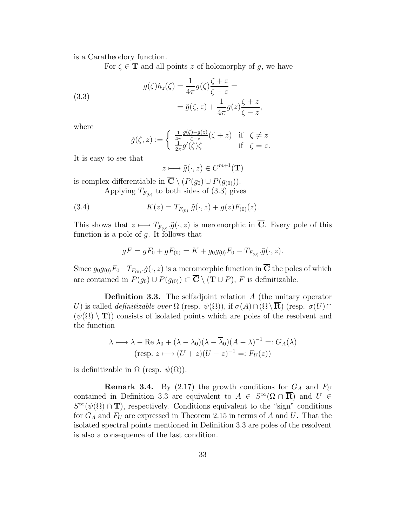is a Caratheodory function.

For  $\zeta \in \mathbf{T}$  and all points z of holomorphy of q, we have

(3.3)  

$$
g(\zeta)h_z(\zeta) = \frac{1}{4\pi}g(\zeta)\frac{\zeta + z}{\zeta - z} =
$$

$$
= \tilde{g}(\zeta, z) + \frac{1}{4\pi}g(z)\frac{\zeta + z}{\zeta - z},
$$

where

$$
\tilde{g}(\zeta, z) := \begin{cases} \frac{1}{4\pi} \frac{g(\zeta) - g(z)}{\zeta - z} (\zeta + z) & \text{if } \zeta \neq z \\ \frac{1}{2\pi} g'(\zeta) \zeta & \text{if } \zeta = z. \end{cases}
$$

It is easy to see that

$$
z \longmapsto \tilde{g}(\cdot, z) \in C^{m+1}(\mathbf{T})
$$

is complex differentiable in  $\overline{\mathbf{C}} \setminus (P(g_0) \cup P(g_{(0)})).$ 

Applying  $T_{F_{(0)}}$  to both sides of  $(3.3)$  gives

(3.4) 
$$
K(z) = T_{F_{(0)}}.\tilde{g}(\cdot,z) + g(z)F_{(0)}(z).
$$

This shows that  $z \mapsto T_{F_{(0)}}$   $\tilde{g}(\cdot, z)$  is meromorphic in  $\overline{C}$ . Every pole of this function is a pole of  $q$ . It follows that

$$
gF = gF_0 + gF_{(0)} = K + g_0g_{(0)}F_0 - T_{F_{(0)}}.\tilde{g}(\cdot, z).
$$

Since  $g_0g_{(0)}F_0-T_{F_{(0)}},\tilde{g}(\cdot,z)$  is a meromorphic function in  $\overline{C}$  the poles of which are contained in  $P(g_0) \cup P(g_{(0)}) \subset \overline{\mathbf{C}} \setminus (\mathbf{T} \cup P)$ , F is definitizable.

**Definition 3.3.** The selfadjoint relation  $A$  (the unitary operator U) is called *definitizable over*  $\Omega$  (resp.  $\psi(\Omega)$ ), if  $\sigma(A) \cap (\Omega \setminus \overline{\mathbf{R}})$  (resp.  $\sigma(U) \cap$  $(\psi(\Omega) \setminus {\bf T})$  consists of isolated points which are poles of the resolvent and the function

$$
\lambda \longmapsto \lambda - \text{Re } \lambda_0 + (\lambda - \lambda_0)(\lambda - \overline{\lambda}_0)(A - \lambda)^{-1} =: G_A(\lambda)
$$
  
(resp.  $z \longmapsto (U + z)(U - z)^{-1} =: F_U(z)$ )

is definitizable in  $\Omega$  (resp.  $\psi(\Omega)$ ).

**Remark 3.4.** By (2.17) the growth conditions for  $G_A$  and  $F_U$ contained in Definition 3.3 are equivalent to  $A \in S^{\infty}(\Omega \cap \overline{\mathbf{R}})$  and  $U \in$  $S^{\infty}(\psi(\Omega) \cap \mathbf{T})$ , respectively. Conditions equivalent to the "sign" conditions for  $G_A$  and  $F_U$  are expressed in Theorem 2.15 in terms of A and U. That the isolated spectral points mentioned in Definition 3.3 are poles of the resolvent is also a consequence of the last condition.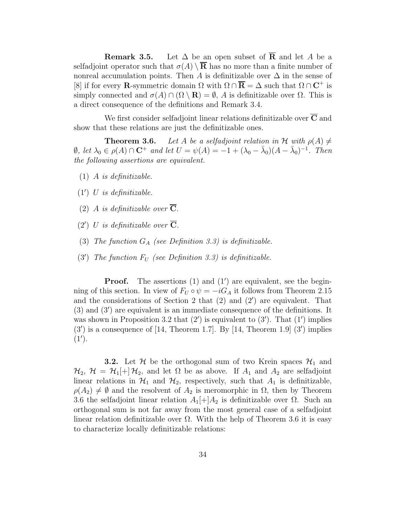**Remark 3.5.** Let  $\Delta$  be an open subset of  $\overline{R}$  and let A be a selfadjoint operator such that  $\sigma(A) \setminus \overline{\mathbf{R}}$  has no more than a finite number of nonreal accumulation points. Then A is definitizable over  $\Delta$  in the sense of [8] if for every **R**-symmetric domain  $\Omega$  with  $\Omega \cap \overline{\mathbf{R}} = \Delta$  such that  $\Omega \cap \mathbf{C}^+$  is simply connected and  $\sigma(A) \cap (\Omega \setminus \mathbf{R}) = \emptyset$ , A is definitizable over  $\Omega$ . This is a direct consequence of the definitions and Remark 3.4.

We first consider selfadjoint linear relations definitizable over  $\overline{C}$  and show that these relations are just the definitizable ones.

**Theorem 3.6.** Let A be a selfadjoint relation in H with  $\rho(A) \neq$  $\emptyset$ , let  $\lambda_0 \in \rho(A) \cap \mathbf{C}^+$  and let  $U = \psi(A) = -1 + (\lambda_0 - \bar{\lambda}_0)(A - \bar{\lambda}_0)^{-1}$ . Then the following assertions are equivalent.

- (1) A is definitizable.
- (1′ ) U is definitizable.
- (2) A is definitizable over  $\overline{\mathbf{C}}$ .
- (2') U is definitizable over  $\overline{\mathbf{C}}$ .
- (3) The function  $G_A$  (see Definition 3.3) is definitizable.
- (3') The function  $F_U$  (see Definition 3.3) is definitizable.

**Proof.** The assertions  $(1)$  and  $(1')$  are equivalent, see the beginning of this section. In view of  $F_U \circ \psi = -iG_A$  it follows from Theorem 2.15 and the considerations of Section 2 that (2) and (2′ ) are equivalent. That (3) and (3′ ) are equivalent is an immediate consequence of the definitions. It was shown in Proposition 3.2 that  $(2')$  is equivalent to  $(3')$ . That  $(1')$  implies  $(3')$  is a consequence of [14, Theorem 1.7]. By [14, Theorem 1.9]  $(3')$  implies  $(1')$ .

**3.2.** Let  $\mathcal{H}$  be the orthogonal sum of two Krein spaces  $\mathcal{H}_1$  and  $\mathcal{H}_2$ ,  $\mathcal{H} = \mathcal{H}_1[+] \mathcal{H}_2$ , and let  $\Omega$  be as above. If  $A_1$  and  $A_2$  are selfadjoint linear relations in  $\mathcal{H}_1$  and  $\mathcal{H}_2$ , respectively, such that  $A_1$  is definitizable,  $\rho(A_2) \neq \emptyset$  and the resolvent of  $A_2$  is meromorphic in  $\Omega$ , then by Theorem 3.6 the selfadjoint linear relation  $A_1[+]A_2$  is definitizable over  $\Omega$ . Such an orthogonal sum is not far away from the most general case of a selfadjoint linear relation definitizable over  $\Omega$ . With the help of Theorem 3.6 it is easy to characterize locally definitizable relations: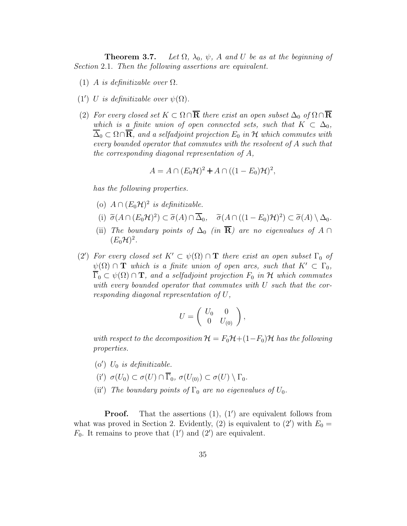**Theorem 3.7.** Let  $\Omega$ ,  $\lambda_0$ ,  $\psi$ , A and U be as at the beginning of Section 2.1. Then the following assertions are equivalent.

- (1) A is definitizable over  $\Omega$ .
- (1') U is definitizable over  $\psi(\Omega)$ .
- (2) For every closed set  $K \subset \Omega \cap \overline{\mathbf{R}}$  there exist an open subset  $\Delta_0$  of  $\Omega \cap \overline{\mathbf{R}}$ which is a finite union of open connected sets, such that  $K \subset \Delta_0$ ,  $\Delta_0 \subset \Omega \cap \mathbf{R}$ , and a selfadjoint projection  $E_0$  in H which commutes with every bounded operator that commutes with the resolvent of A such that the corresponding diagonal representation of A,

$$
A = A \cap (E_0 \mathcal{H})^2 + A \cap ((1 - E_0) \mathcal{H})^2,
$$

has the following properties.

- (o)  $A \cap (E_0 \mathcal{H})^2$  is definitizable.
- (i)  $\widetilde{\sigma}(A \cap (E_0 \mathcal{H})^2) \subset \widetilde{\sigma}(A) \cap \overline{\Delta}_0$ ,  $\widetilde{\sigma}(A \cap ((1 E_0)\mathcal{H})^2) \subset \widetilde{\sigma}(A) \setminus \Delta_0$ .
- (ii) The boundary points of  $\Delta_0$  (in  $\overline{\mathbf{R}}$ ) are no eigenvalues of A ∩  $(E_0\mathcal{H})^2$ .
- (2') For every closed set  $K' \subset \psi(\Omega) \cap \mathbf{T}$  there exist an open subset  $\Gamma_0$  of  $\psi(\Omega) \cap \mathbf{T}$  which is a finite union of open arcs, such that  $K' \subset \Gamma_0$ ,  $\overline{\Gamma}_0 \subset \psi(\Omega) \cap \mathbf{T}$ , and a selfadjoint projection  $F_0$  in H which commutes with every bounded operator that commutes with U such that the corresponding diagonal representation of U,

$$
U = \left( \begin{array}{cc} U_0 & 0 \\ 0 & U_{(0)} \end{array} \right),
$$

with respect to the decomposition  $\mathcal{H} = F_0\mathcal{H} + (1-F_0)\mathcal{H}$  has the following properties.

- $(o')$  U<sub>0</sub> is definitizable.
- (i')  $\sigma(U_0) \subset \sigma(U) \cap \overline{\Gamma}_0$ ,  $\sigma(U_{(0)}) \subset \sigma(U) \setminus \Gamma_0$ .
- (ii') The boundary points of  $\Gamma_0$  are no eigenvalues of  $U_0$ .

**Proof.** That the assertions  $(1)$ ,  $(1')$  are equivalent follows from what was proved in Section 2. Evidently, (2) is equivalent to (2') with  $E_0 =$  $F_0$ . It remains to prove that  $(1')$  and  $(2')$  are equivalent.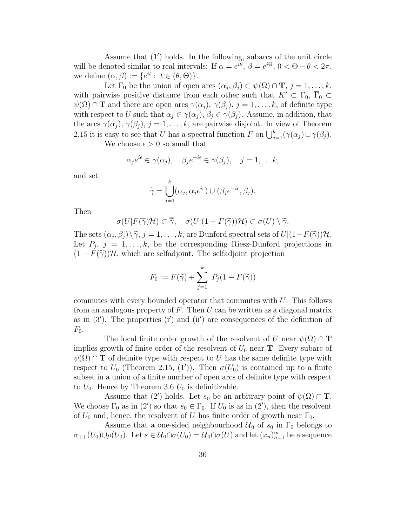Assume that (1′ ) holds. In the following, subarcs of the unit circle will be denoted similar to real intervals: If  $\alpha = e^{i\theta}$ ,  $\beta = e^{i\Theta}$ ,  $0 < \Theta - \theta < 2\pi$ , we define  $(\alpha, \beta) := \{e^{it} : t \in (\theta, \Theta)\}.$ 

Let  $\Gamma_0$  be the union of open arcs  $(\alpha_j, \beta_j) \subset \psi(\Omega) \cap \mathbf{T}, j = 1, \ldots, k$ , with pairwise positive distance from each other such that  $K' \subset \Gamma_0$ ,  $\overline{\Gamma}_0 \subset$  $\psi(\Omega) \cap \mathbf{T}$  and there are open arcs  $\gamma(\alpha_j)$ ,  $\gamma(\beta_j)$ ,  $j = 1, \ldots, k$ , of definite type with respect to U such that  $\alpha_j \in \gamma(\alpha_j)$ ,  $\beta_j \in \gamma(\beta_j)$ . Assume, in addition, that the arcs  $\gamma(\alpha_j)$ ,  $\gamma(\beta_j)$ ,  $j = 1, \ldots, k$ , are pairwise disjoint. In view of Theorem 2.15 it is easy to see that U has a spectral function F on  $\bigcup_{j=1}^k (\gamma(\alpha_j) \cup \gamma(\beta_j))$ .

We choose  $\epsilon > 0$  so small that

$$
\alpha_j e^{i\epsilon} \in \gamma(\alpha_j), \quad \beta_j e^{-i\epsilon} \in \gamma(\beta_j), \quad j = 1, \dots k,
$$

and set

$$
\widetilde{\gamma} = \bigcup_{j=1}^{k} (\alpha_j, \alpha_j e^{i\epsilon}) \cup (\beta_j e^{-i\epsilon}, \beta_j).
$$

Then

$$
\sigma(U|F(\widetilde{\gamma})\mathcal{H}) \subset \overline{\widetilde{\gamma}}, \quad \sigma(U|(1-F(\widetilde{\gamma}))\mathcal{H}) \subset \sigma(U) \setminus \widetilde{\gamma}.
$$

The sets  $(\alpha_j, \beta_j) \setminus \tilde{\gamma}, j = 1, \ldots, k$ , are Dunford spectral sets of  $U[(1-F(\tilde{\gamma}))\mathcal{H}]$ . Let  $P_j$ ,  $j = 1, \ldots, k$ , be the corresponding Riesz-Dunford projections in  $(1 - F(\tilde{\gamma}))$ H, which are selfadjoint. The selfadjoint projection

$$
F_0 := F(\widetilde{\gamma}) + \sum_{j=1}^k P_j(1 - F(\widetilde{\gamma}))
$$

commutes with every bounded operator that commutes with  $U$ . This follows from an analogous property of  $F$ . Then  $U$  can be written as a diagonal matrix as in  $(3')$ . The properties  $(i')$  and  $(ii')$  are consequences of the definition of  $F_0$ .

The local finite order growth of the resolvent of U near  $\psi(\Omega) \cap T$ implies growth of finite order of the resolvent of  $U_0$  near **T**. Every subarc of  $\psi(\Omega) \cap T$  of definite type with respect to U has the same definite type with respect to  $U_0$  (Theorem 2.15, (1')). Then  $\sigma(U_0)$  is contained up to a finite subset in a union of a finite number of open arcs of definite type with respect to  $U_0$ . Hence by Theorem 3.6  $U_0$  is definitizable.

Assume that (2') holds. Let  $s_0$  be an arbitrary point of  $\psi(\Omega) \cap \mathbf{T}$ . We choose  $\Gamma_0$  as in (2') so that  $s_0 \in \Gamma_0$ . If  $U_0$  is as in (2'), then the resolvent of  $U_0$  and, hence, the resolvent of U has finite order of growth near  $\Gamma_0$ .

Assume that a one-sided neighbourhood  $\mathcal{U}_0$  of  $s_0$  in  $\Gamma_0$  belongs to  $\sigma_{++}(U_0)\cup \rho(U_0)$ . Let  $s\in\mathcal{U}_0\cap\sigma(U_0)=\mathcal{U}_0\cap\sigma(U)$  and let  $(x_n)_{n=1}^\infty$  be a sequence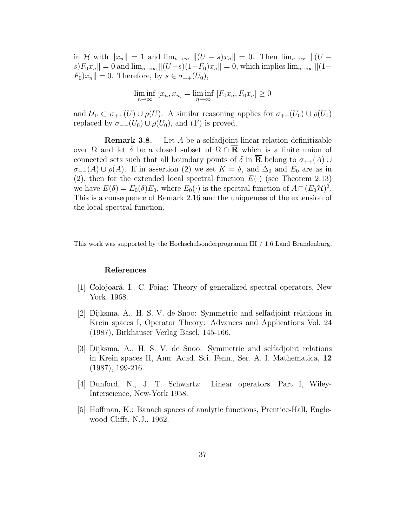in H with  $||x_n|| = 1$  and  $\lim_{n\to\infty} ||(U - s)x_n|| = 0$ . Then  $\lim_{n\to\infty} ||(U - s)x_n||$  $s)F_0x_n \rVert = 0$  and  $\lim_{n\to\infty} \|(U-s)(1-F_0)x_n\| = 0$ , which implies  $\lim_{n\to\infty} \|(1-\frac{1}{n})x_n\|$  $F_0|x_n|=0.$  Therefore, by  $s \in \sigma_{++}(U_0)$ ,

$$
\liminf_{n \to \infty} [x_n, x_n] = \liminf_{n \to \infty} [F_0 x_n, F_0 x_n] \ge 0
$$

and  $U_0 \subset \sigma_{++}(U) \cup \rho(U)$ . A similar reasoning applies for  $\sigma_{++}(U_0) \cup \rho(U_0)$ replaced by  $\sigma_{--}(U_0) \cup \rho(U_0)$ , and  $(1')$  is proved.

Remark 3.8. Let A be a selfadjoint linear relation definitizable over  $\Omega$  and let  $\delta$  be a closed subset of  $\Omega \cap \overline{R}$  which is a finite union of connected sets such that all boundary points of  $\delta$  in  $\overline{\mathbf{R}}$  belong to  $\sigma_{++}(A)$  ∪  $\sigma_{-}$ (A) ∪  $\rho(A)$ . If in assertion (2) we set  $K = \delta$ , and  $\Delta_0$  and  $E_0$  are as in (2), then for the extended local spectral function  $E(\cdot)$  (see Theorem 2.13) we have  $E(\delta) = E_0(\delta) E_0$ , where  $E_0(\cdot)$  is the spectral function of  $A \cap (E_0 \mathcal{H})^2$ . This is a consequence of Remark 2.16 and the uniqueness of the extension of the local spectral function.

This work was supported by the Hochschulsonderprogramm III / 1.6 Land Brandenburg.

### References

- [1] Colojoară, I., C. Foiaş: Theory of generalized spectral operators, New York, 1968.
- [2] Dijksma, A., H. S. V. de Snoo: Symmetric and selfadjoint relations in Krein spaces I, Operator Theory: Advances and Applications Vol. 24 (1987), Birkhäuser Verlag Basel, 145-166.
- [3] Dijksma, A., H. S. V. de Snoo: Symmetric and selfadjoint relations in Krein spaces II, Ann. Acad. Sci. Fenn., Ser. A. I. Mathematica, 12 (1987), 199-216.
- [4] Dunford, N., J. T. Schwartz: Linear operators. Part I, Wiley-Interscience, New-York 1958.
- [5] Hoffman, K.: Banach spaces of analytic functions, Prentice-Hall, Englewood Cliffs, N.J., 1962.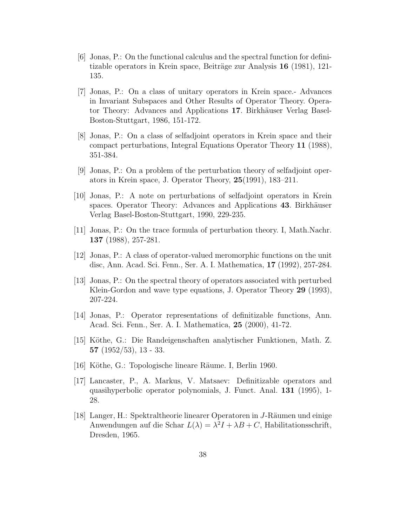- [6] Jonas, P.: On the functional calculus and the spectral function for definitizable operators in Krein space, Beiträge zur Analysis 16 (1981), 121-135.
- [7] Jonas, P.: On a class of unitary operators in Krein space.- Advances in Invariant Subspaces and Other Results of Operator Theory. Operator Theory: Advances and Applications 17. Birkhäuser Verlag Basel-Boston-Stuttgart, 1986, 151-172.
- [8] Jonas, P.: On a class of selfadjoint operators in Krein space and their compact perturbations, Integral Equations Operator Theory 11 (1988), 351-384.
- [9] Jonas, P.: On a problem of the perturbation theory of selfadjoint operators in Krein space, J. Operator Theory, 25(1991), 183–211.
- [10] Jonas, P.: A note on perturbations of selfadjoint operators in Krein spaces. Operator Theory: Advances and Applications 43. Birkhäuser Verlag Basel-Boston-Stuttgart, 1990, 229-235.
- [11] Jonas, P.: On the trace formula of perturbation theory. I, Math.Nachr. 137 (1988), 257-281.
- [12] Jonas, P.: A class of operator-valued meromorphic functions on the unit disc, Ann. Acad. Sci. Fenn., Ser. A. I. Mathematica, 17 (1992), 257-284.
- [13] Jonas, P.: On the spectral theory of operators associated with perturbed Klein-Gordon and wave type equations, J. Operator Theory 29 (1993), 207-224.
- [14] Jonas, P.: Operator representations of definitizable functions, Ann. Acad. Sci. Fenn., Ser. A. I. Mathematica, 25 (2000), 41-72.
- [15] K¨othe, G.: Die Randeigenschaften analytischer Funktionen, Math. Z. 57 (1952/53), 13 - 33.
- [16] Köthe, G.: Topologische lineare Räume. I, Berlin 1960.
- [17] Lancaster, P., A. Markus, V. Matsaev: Definitizable operators and quasihyperbolic operator polynomials, J. Funct. Anal. 131 (1995), 1- 28.
- [18] Langer, H.: Spektraltheorie linearer Operatoren in J-Räumen und einige Anwendungen auf die Schar  $L(\lambda) = \lambda^2 I + \lambda B + C$ , Habilitationsschrift, Dresden, 1965.